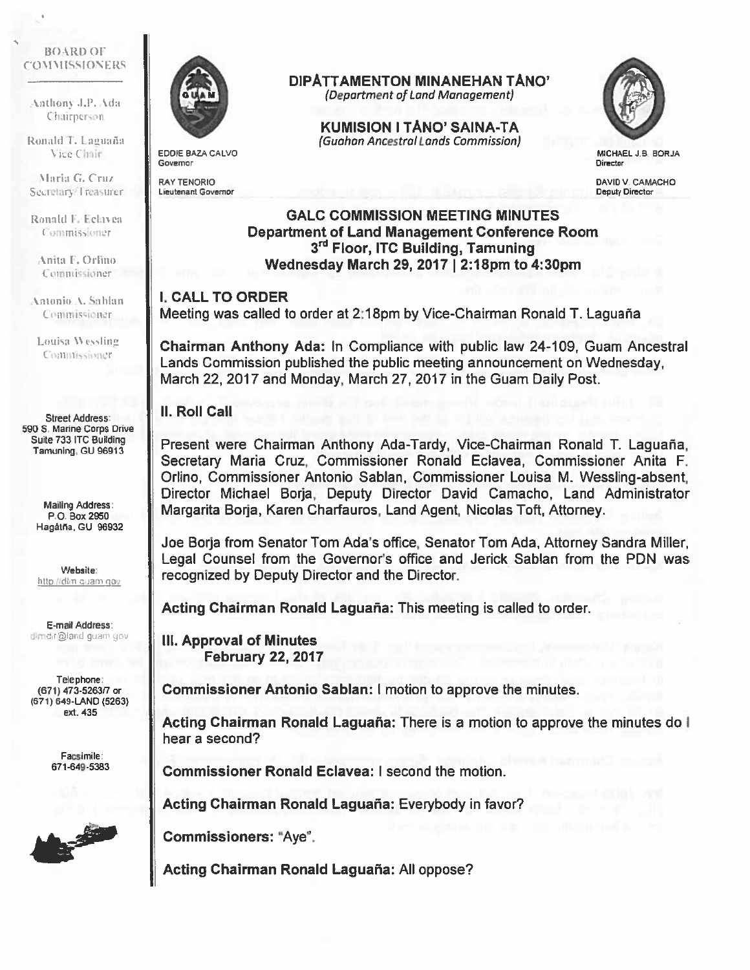#### **BOARD OF** (4) '.1 Ml SSI 0", F KS

Anthony J.P. Ada Chairperson.

Ronald T. Laguaña Vice Chair

Maria G. Cruz Secretary/Treasurer

Ronald F. Eclavea Commissioner

Anita F. Orlino **Commissioner** 

Antonio A. Sahlan Commissioner

Louisa Wessling Commissioner

Street Address: 590 5. Marine Corps Drive Suite 733 ITC Building Tamuning, CU 96913

> Mailing Address: P.O. Box 2950 Hagátña, GU 96932

Website: http.//dim.quam.qov

E-mail Address: dimdir@land guam gov

Telephone: (671) 473-5263/7 or (671) 649-LAND (5263) ext. 435

> Facsimile: 671-649-5383





EDDIE BAZA CALVO Governor

RAY TENDRIC Lieutenant Governor

## DIPATTAMENTON MINANEHAN TANO'

(Department of Land Management)

KUMISION I TANO' SAINA-TA (Guohan Ancestral Lands Cammission)



MICHAEL J.B BORJA **Director** 

DAVID V. CAMACHO Deputy Director

# GALC COMMISSION MEETING MINUTES Department of Land Management Conference Room 3rd Floor, ITC Building, Tamuning Wednesday March 29, 2017 I 2:18pm to 4:30pm

### I. CALL TO ORDER

Meeting was called to order at 2:18pm by Vice-Chairman Ronald T. Laguana

Chairman Anthony Ada: In Compliance with public law 24-1 09, Guam Ancestral Lands Commission published the public meeting announcement on Wednesday, March 22, 2017 and Monday, March 27, 2017 in the Guam Daily Post.

### II. Roll Call

Present were Chairman Anthony Ada-Tardy, Vice-Chairman Ronald T. Laguaña, Secretary Maria Cruz, Commissioner Ronald Eclavea, Commissioner Anita F. Orlino, Commissioner Antonio Sablan, Commissioner Louisa M. Wessling-absent, Director Michael Borja, Deputy Director David Camacho, Land Administrator Margarita Borja, Karen Charfauros, Land Agent, Nicolas Toft, Attorney.

Joe Borja from Senator Tom Ada's office, Senator Tom Ada, Attorney Sandra Miller, Legal Counsel from the Governor's office and Jerick Sablan from the PDN was recognized by Deputy Director and the Director.

Acting Chairman Ronald Laguaña: This meeting is called to order.

Ill. Approval of Minutes February 22, 2017

Commissioner Antonio Sablan: I motion to approve the minutes.

Acting Chairman Ronald Laguaña: There is a motion to approve the minutes do I hear <sup>a</sup> second?

Commissioner Ronald Eclavea: I second the motion.

Acting Chairman Ronald Laguaña: Everybody in favor?

Commissioners: "Aye".

Acting Chairman Ronald Laguaña: All oppose?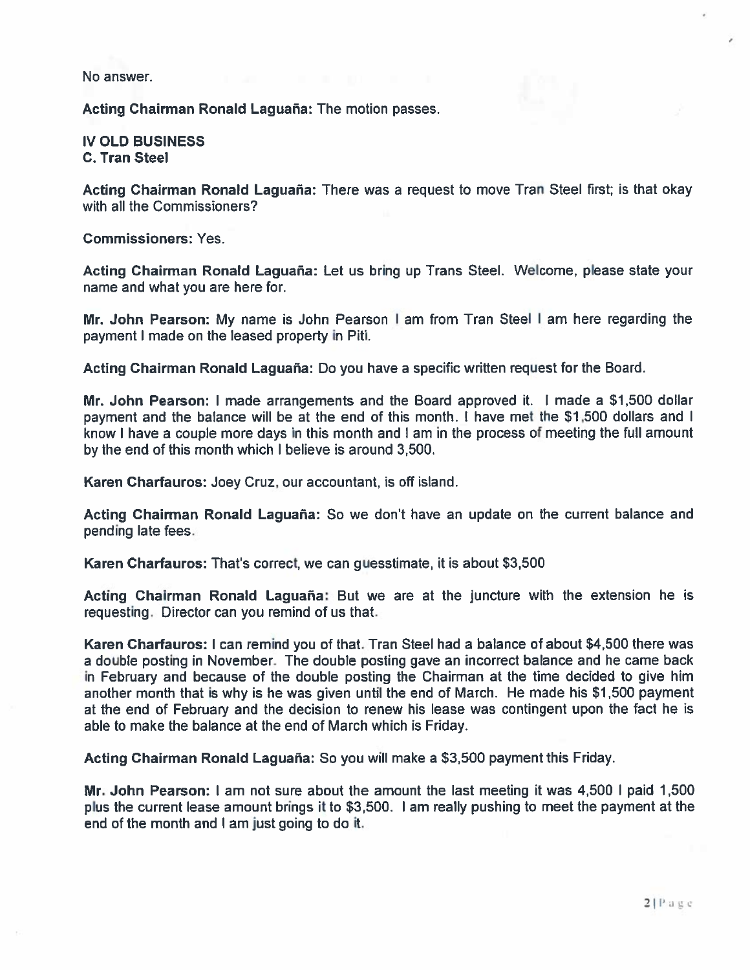No answer.

Acting Chairman Ronald Laguaña: The motion passes.

IV OLD BUSINESS C. Tran Steel

Acting Chairman Ronald Laguaña: There was a request to move Tran Steel first; is that okay with all the Commissioners?

Commissioners: Yes.

Acting Chairman Ronald Laguaña: Let us bring up Trans Steel. Welcome, please state your name and what you are here for.

Mr. John Pearson: My name is John Pearson <sup>I</sup> am from Tran Steel <sup>I</sup> am here regarding the paymen<sup>t</sup> I made on the leased property in Piti.

Acting Chairman Ronald Laguaña: Do you have <sup>a</sup> specific written reques<sup>t</sup> for the Board.

Mr. John Pearson: <sup>I</sup> made arrangements and the Board approved it. <sup>I</sup> made <sup>a</sup> \$1,500 dollar paymen<sup>t</sup> and the balance will be at the end of this month. <sup>I</sup> have met the 51,500 dollars and <sup>I</sup> know I have <sup>a</sup> couple more days in this month and <sup>I</sup> am in the process of meeting the full amount by the end of this month which I believe is around 3,500.

Karen Charfauros: Joey Cruz, our accountant, is off island.

Acting Chairman Ronald Laguaña: So we don't have an update on the current balance and pending late fees.

Karen Charfauros: That's correct, we can guesstimate, it is about \$3,500

Acting Chairman Ronald Laguaña: But we are at the juncture with the extension he is requesting. Director can you remind of us that.

Karen Charfauros: <sup>I</sup> can remind you of that. Tran Steel had <sup>a</sup> balance of about \$4,500 there was a double posting in November. The double posting gave an incorrect balance and he came back in February and because of the double posting the Chairman at the time decided to give him another month that is why is he was <sup>g</sup>iven until the end of March. He made his \$1,500 paymen<sup>t</sup> at the end of February and the decision to renew his lease was contingent upon the fact he is able to make the balance at the end of March which is Friday.

Acting Chairman Ronald Laguaña: So you will make a \$3,500 payment this Friday.

Mr. John Pearson: I am not sure about the amount the last meeting it was 4,500 I paid 1,500 <sup>p</sup>lus the current lease amount brings it to \$3,500. <sup>I</sup> am really pushing to meet the paymen<sup>t</sup> at the end of the month and I am just going to do it.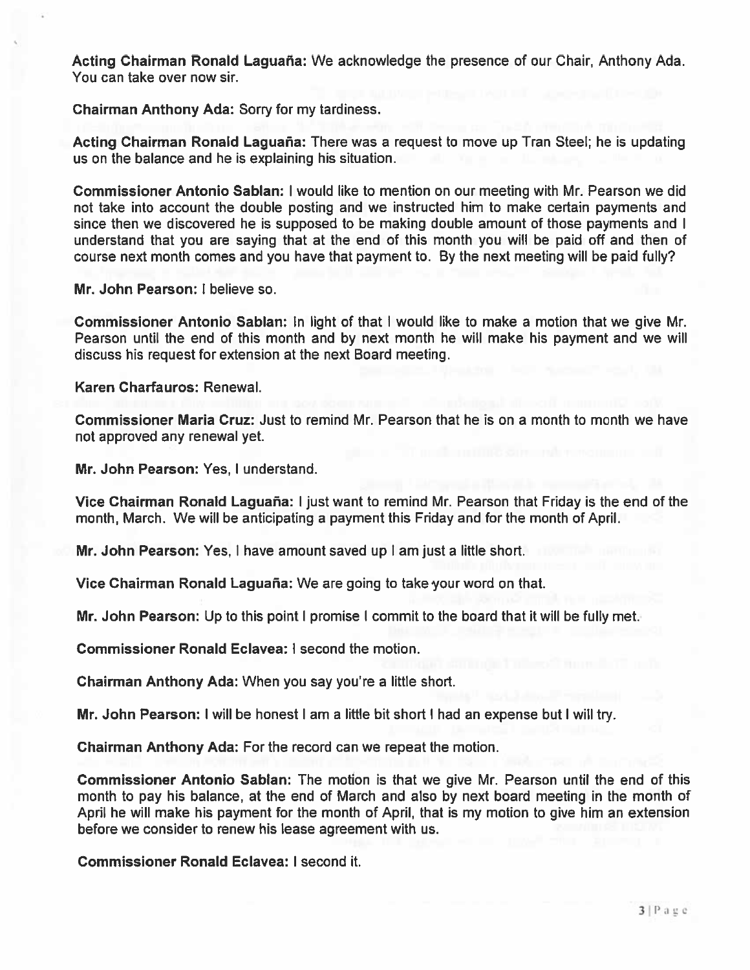Acting Chairman Ronald Laguaña: We acknowledge the presence of our Chair, Anthony Ada. You can take over now sir.

Chairman Anthony Ada: Sorry for my tardiness.

Acting Chairman Ronald Laguaña: There was a request to move up Tran Steel; he is updating us on the balance and he is explaining his situation.

Commissioner Antonio Sablan: I would like to mention on our meeting with Mr. Pearson we did not take into account the double posting and we instructed him to make certain payments and since then we discovered he is supposed to be making double amount of those payments and I understand that you are saying that at the end of this month you will be paid off and then of course next month comes and you have that paymen<sup>t</sup> to. By the next meeting will be paid fully?

Mr. John Pearson: I believe so.

Commissioner Antonio Sablan: In light of that I would like to make <sup>a</sup> motion that we give Mr. Pearson until the end of this month and by next month he will make his paymen<sup>t</sup> and we will discuss his reques<sup>t</sup> for extension at the next Board meeting.

Karen Charfauros: Renewal.

Commissioner Maria Cruz: Just to remind Mr. Pearson that he is on <sup>a</sup> month to month we have not approved any renewal yet.

Mr. John Pearson: Yes, I understand.

Vice Chairman Ronald Laguaña: I just want to remind Mr. Pearson that Friday is the end of the month, March. We will be anticipating <sup>a</sup> paymen<sup>t</sup> this Friday and for the month of April.

Mr. John Pearson: Yes, I have amount saved up I am just <sup>a</sup> little short.

Vice Chairman Ronald Laguaña: We are going to take your word on that.

Mr. John Pearson: Up to this point I promise I commit to the board that it will be fully met.

Commissioner Ronald Eclavea: I second the motion.

Chairman Anthony Ada: When you say you're <sup>a</sup> little short.

Mr. John Pearson: I will be honest I am <sup>a</sup> little bit short I had an expense but I will try.

Chairman Anthony Ada: For the record can we repea<sup>t</sup> the motion.

Commissioner Antonio Sablan: The motion is that we give Mr. Pearson until the end of this month to pay his balance, at the end of March and also by next board meeting in the month of April he will make his paymen<sup>t</sup> for the month of April, that is my motion to give him an extension before we consider to renew his lease agreemen<sup>t</sup> with us.

Commissioner Ronald Eclavea: I second it.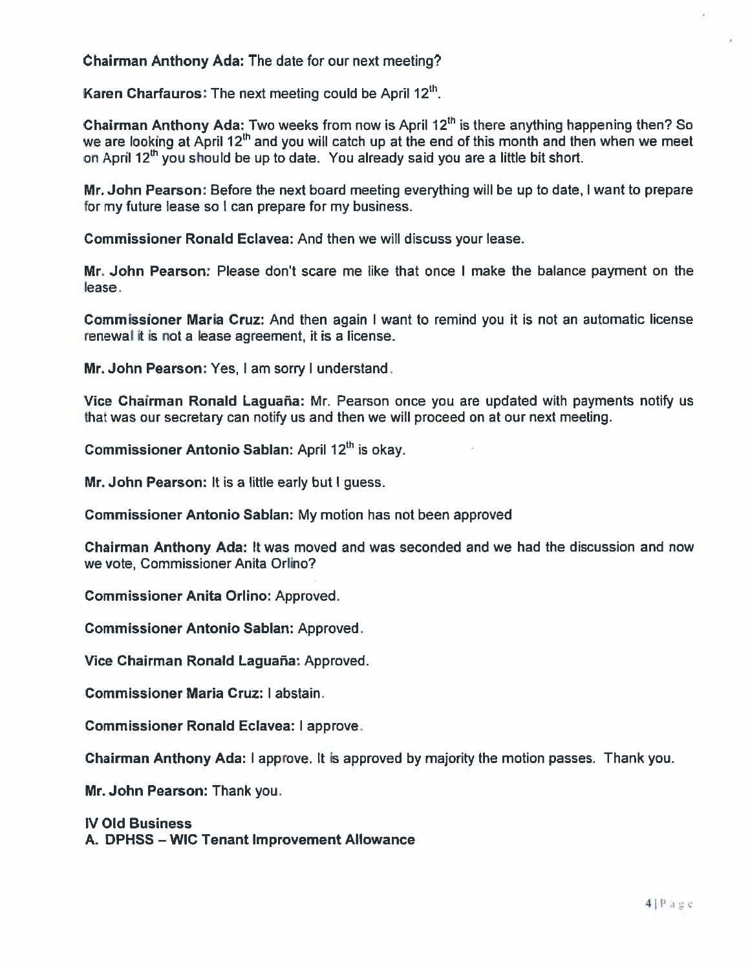Chairman Anthony Ada: The date for our next meeting?

Karen Charfauros: The next meeting could be April 12 $^{\rm th}$ 

Chairman Anthony Ada: Two weeks from now is April 12°' is there anything happening then? So we are looking at April 12<sup>th</sup> and you will catch up at the end of this month and then when we meet on April 12<sup>th</sup> you should be up to date. You already said you are a little bit short

Mr. John Pearson: Before the next board meeting everything will be up to date, I want to prepare for my future lease so I can prepare for my business.

Commissioner Ronald Eclavea: And then we will discuss your lease.

Mr. John Pearson: Please don't scare me like that once I make the balance paymen<sup>t</sup> on the lease.

Commissioner Maria Cruz: And then again I want to remind you it is not an automatic license renewal it is not a lease agreement, it is <sup>a</sup> license.

Mr. John Pearson: Yes, I am sorry I understand.

Vice Chairman Ronald Laguaña: Mr. Pearson once you are updated with payments notify us that was our secretary can notify us and then we will proceed on at our next meeting.

Commissioner Antonio Sablan: April 12°' is okay.

Mr. John Pearson: It is <sup>a</sup> little early but I guess.

Commissioner Antonio Sablan: My motion has not been approved

Chairman Anthony Ada: It was moved and was seconded and we had the discussion and now we vote, Commissioner Anita Orlino?

Commissioner Anita Orlino: Approved.

Commissioner Antonio Sablan: Approved.

Vice Chairman Ronald Laguaña: Approved

Commissioner Maria Cruz: I abstain.

Commissioner Ronald Eclavea: I approve.

Chairman Anthony Ada: I approve. It is approved by majority the motion passes. Thank you.

Mr. John Pearson: Thank you.

IV Old Business A. DPHSS — WIC Tenant Improvement Allowance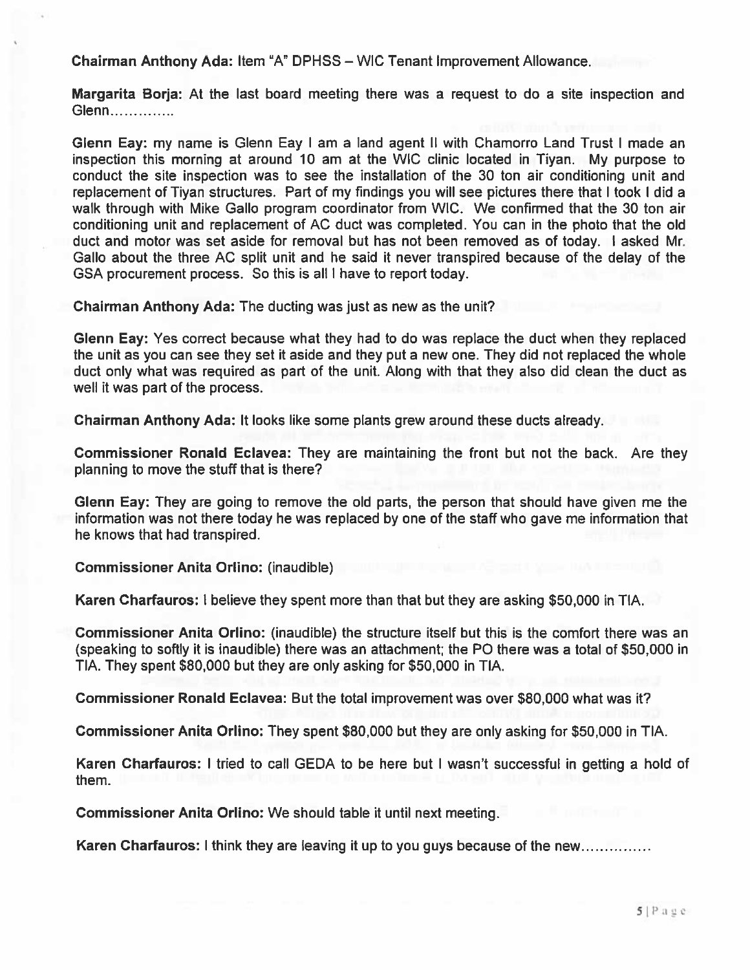Chairman Anthony Ada: Item "A" DPHSS – WIC Tenant Improvement Allowance.

Margarita Borja: At the last board meeting there was <sup>a</sup> reques<sup>t</sup> to do <sup>a</sup> site inspection and Glenn..............

Glenn Eay: my name is Glenn Eay I am <sup>a</sup> land agen<sup>t</sup> II with Chamorro Land Trust I made an inspection this morning at around 10 am at the WIC clinic located in Tiyan. My purpose to conduct the site inspection was to see the installation of the 30 ton air conditioning unit and replacement of Tiyan structures. Part of my findings you will see pictures there that I took I did <sup>a</sup> walk through with Mike Gallo program coordinator from WIC. We confirmed that the 30 ton air conditioning unit and replacement of AC duct was completed. You can in the photo that the old duct and motor was set aside for removal but has not been removed as of today. I asked Mr. Gallo about the three AC split unit and he said it never transpired because of the delay of the GSA procuremen<sup>t</sup> process. So this is all I have to repor<sup>t</sup> today.

Chairman Anthony Ada: The ducting was just as new as the unit?

Glenn Eay: Yes correct because what they had to do was replace the duct when they replaced the unit as you can see they set it aside and they pu<sup>t</sup> <sup>a</sup> new one. They did not replaced the whole duct only what was required as par<sup>t</sup> of the unit. Along with that they also did clean the duct as well it was par<sup>t</sup> of the process.

Chairman Anthony Ada: It looks like some plants grew around these ducts already.

Commissioner Ronald Eclavea: They are maintaining the front but not the back. Are they planning to move the stuff that is there?

Glenn Eay: They are going to remove the old parts, the person that should have given me the information was not there today he was replaced by one of the staff who gave me information that he knows that had transpired.

Commissioner Anita Orlino: (inaudible)

Karen Charfauros: I believe they spen<sup>t</sup> more than that but they are asking \$50,000 in TIA.

Commissioner Anita Orlino: (inaudible) the structure itself but this is the comfort there was an (speaking to softly it is inaudible) there was an attachment; the PC there was <sup>a</sup> total of \$50,000 in TIA. They spen<sup>t</sup> \$80,000 but they are only asking for \$50,000 in TIA.

Commissioner Ronald Eclavea: But the total improvement was over \$80,000 what was it?

Commissioner Anita Orlino: They spen<sup>t</sup> \$80,000 but they are only asking for \$50,000 in TIA.

Karen Charfauros: I tried to call GEDA to be here but I wasn't successful in getting <sup>a</sup> hold of them.

Commissioner Anita Orlino: We should table it until next meeting.

Karen Charfauros: I think they are leaving it up to you guys because of the new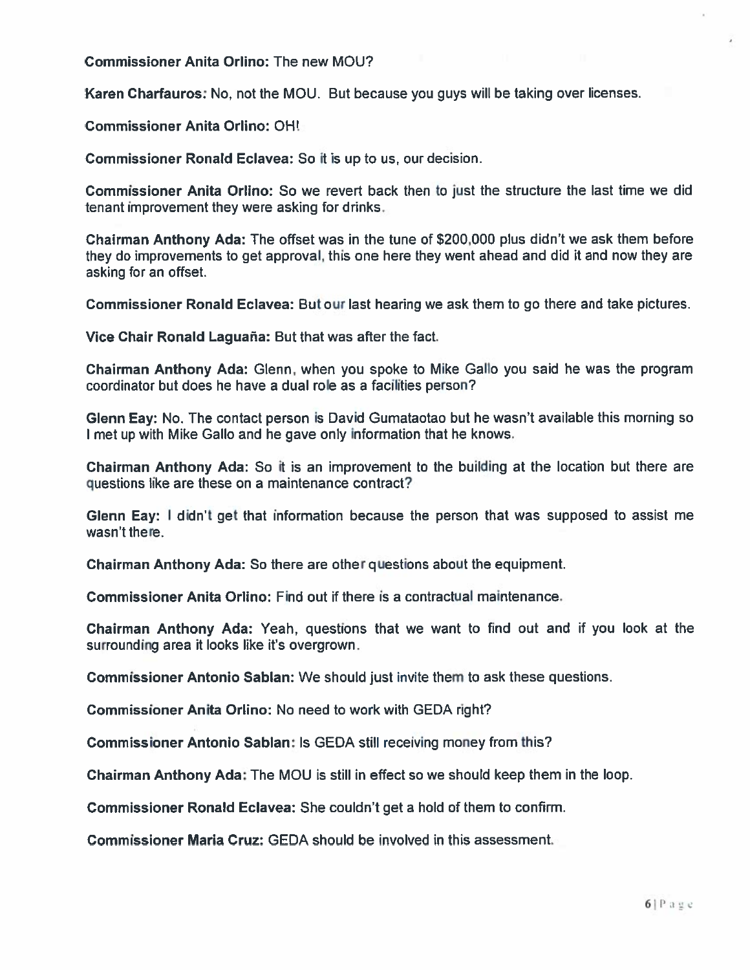Commissioner Anita Orlino: The new MOU?

Karen Charfauros: No, not the MOU. But because you guys will be taking over licenses.

Commissioner Anita Orlino: OH!

Commissioner Ronald Eclavea: So it is up to us, our decision.

Commissioner Anita Orlino: So we revert back then to just the structure the last time we did tenant improvement they were asking for drinks.

Chairman Anthony Ada: The offset was in the tune of \$200,000 plus didn't we ask them before they do improvements to ge<sup>t</sup> approval, this one here they went ahead and did it and now they are asking for an offset.

Commissioner Ronald Eclavea: But our last hearing we ask them to go there and take pictures.

Vice Chair Ronald Laguaña: But that was after the fact

Chairman Anthony Ada: Glenn, when you spoke to Mike Gallo you said he was the program coordinator but does he have <sup>a</sup> dual role as <sup>a</sup> facilities person?

Glenn Eay: No. The contact person is David Gumataotao but he wasn't available this morning so met up with Mike Gallo and he gave only information that he knows.

Chairman Anthony Ada: So it is an improvement to the building at the location but there are questions like are these on <sup>a</sup> maintenance contract?

Glenn Eay: I didn't ge<sup>t</sup> that information because the person that was supposed to assist me wasn't there.

Chairman Anthony Ada: So there are other questions about the equipment.

Commissioner Anita Orlino: Find out if there is <sup>a</sup> contractual maintenance.

Chairman Anthony Ada: Yeah, questions that we want to find out and if you look at the surrounding area it looks like it's overgrown.

Commissioner Antonio Sablan: We should just invite them to ask these questions.

Commissioner Anita Orlino: No need to work with GEDA right?

Commissioner Antonio Sablan: Is GEDA still receiving money from this?

Chairman Anthony Ada: The MOU is still in effect so we should keep them in the loop.

Commissioner Ronald Eclavea: She couldn't ge<sup>t</sup> <sup>a</sup> hold of them to confirm.

Commissioner Maria Cruz: GEDA should be involved in this assessment.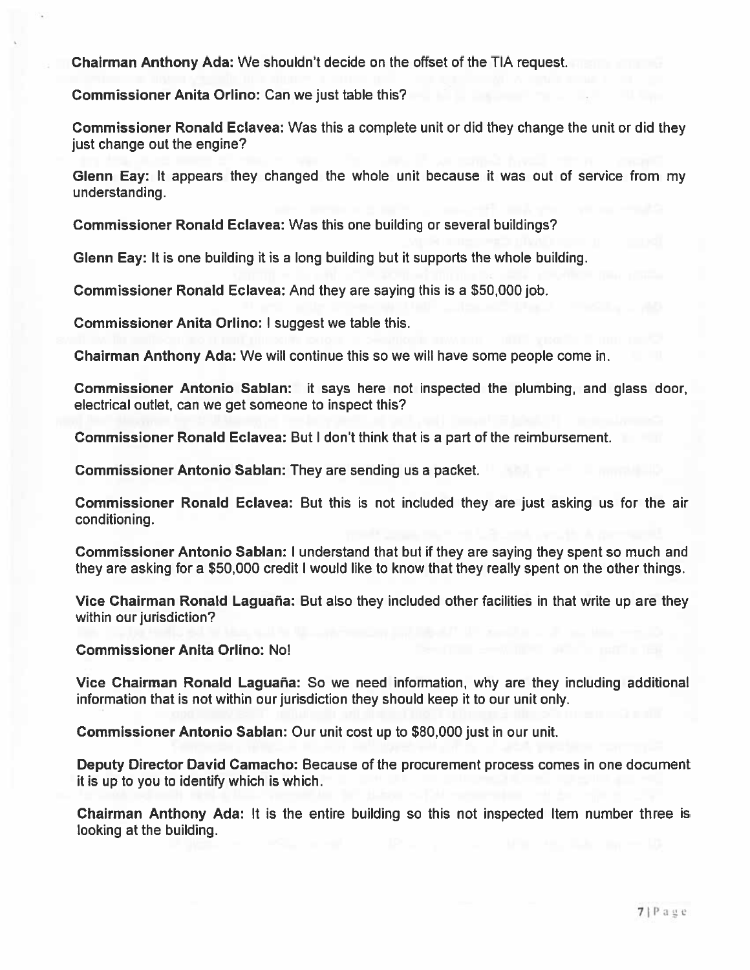Chairman Anthony Ada: We shouldn't decide on the offset of the TIA request.

Commissioner Anita Orlino: Can we just table this?

Commissioner Ronald Eclavea: Was this <sup>a</sup> complete unit or did they change the unit or did they just change out the engine?

Glenn Eay: It appears they changed the whole unit because it was out of service from my understanding.

Commissioner Ronald Eclavea: Was this one building or several buildings?

Glenn Eay: It is one building it is <sup>a</sup> long building but it supports the whole building.

Commissioner Ronald Eclavea: And they are saying this is <sup>a</sup> \$50,000 job.

Commissioner Anita Orlino: I sugges<sup>t</sup> we table this.

Chairman Anthony Ada: We will continue this so we will have some people come in.

Commissioner Antonio Sablan: it says here not inspected the plumbing, and glass door, electrical outlet, can we ge<sup>t</sup> someone to inspect this?

Commissioner Ronald Eclavea: But I don't think that is <sup>a</sup> par<sup>t</sup> of the reimbursement.

Commissioner Antonio Sablan: They are sending us <sup>a</sup> packet.

Commissioner Ronald Eclavea: But this is not included they are just asking us for the air conditioning.

Commissioner Antonio Sablan: I understand that but if they are saying they spen<sup>t</sup> so much and they are asking for <sup>a</sup> \$50,000 credit I would like to know that they really spen<sup>t</sup> on the other things.

Vice Chairman Ronald Laguaña: But also they included other facilities in that write up are they within our jurisdiction?

Commissioner Anita Orlino: No!

Vice Chairman Ronald Laguaña: So we need information, why are they including additional information that is not within our jurisdiction they should keep it to our unit only.

Commissioner Antonio Sablan: Our unit cost up to \$80,000 just in our unit.

Deputy Director David Camacho: Because of the procuremen<sup>t</sup> process comes in one document it is up to you to identify which is which.

Chairman Anthony Ada: It is the entire building so this not inspected Item number three is looking at the building.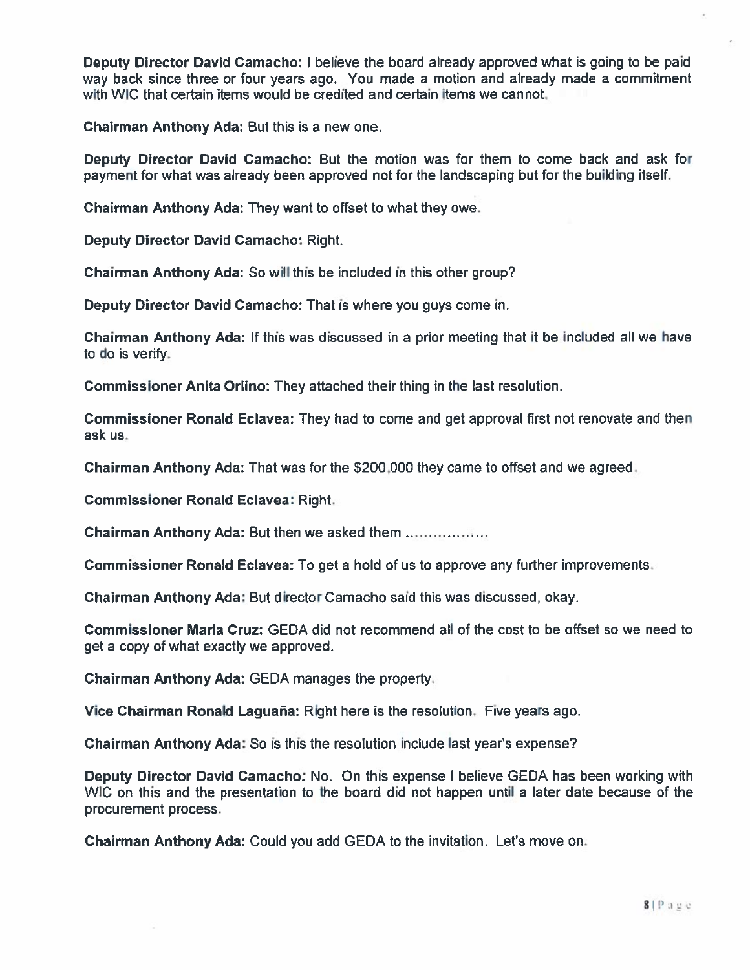Deputy Director David Camacho: I believe the board already approved what is going to be paid way back since three or four years ago. You made <sup>a</sup> motion and already made <sup>a</sup> commitment with WIC that certain items would be credited and certain items we cannot.

Chairman Anthony Ada: But this is <sup>a</sup> new one.

Deputy Director David Camacho: But the motion was for them to come back and ask for paymen<sup>t</sup> for what was already been approved not for the landscaping but for the building itself.

Chairman Anthony Ada: They want to offset to what they owe.

Deputy Director David Camacho: Right.

Chairman Anthony Ada: So will this be included in this other group?

Deputy Director David Camacho: That is where you guys come in.

Chairman Anthony Ada: If this was discussed in <sup>a</sup> prior meeting that it be included all we have to do is verify.

Commissioner Anita Orlino: They attached their thing in the last resolution.

Commissioner Ronald Eclavea: They had to come and ge<sup>t</sup> approval first not renovate and then ask us.

Chairman Anthony Ada: That was for the \$200,000 they came to offset and we agreed.

Commissioner Ronald Eclavea: Right.

Chairman Anthony Ada: But then we asked them

Commissioner Ronald Eclavea: To ge<sup>t</sup> <sup>a</sup> hold of us to approve any further improvements.

Chairman Anthony Ada: But director Camacho said this was discussed, okay.

Commissioner Maria Cruz: GEDA did not recommend all of the cost to be offset so we need to ge<sup>t</sup> <sup>a</sup> copy of what exactly we approved.

Chairman Anthony Ada: GEDA manages the property.

Vice Chairman Ronald Laguaña: Right here is the resolution. Five years ago.

Chairman Anthony Ada: So is this the resolution include last year's expense?

Deputy Director David Camacho: No. On this expense I believe GEDA has been working with WIG on this and the presentation to the board did not happen until <sup>a</sup> later date because of the procurement process.

Chairman Anthony Ada: Could you add GEDA to the invitation. Let's move on.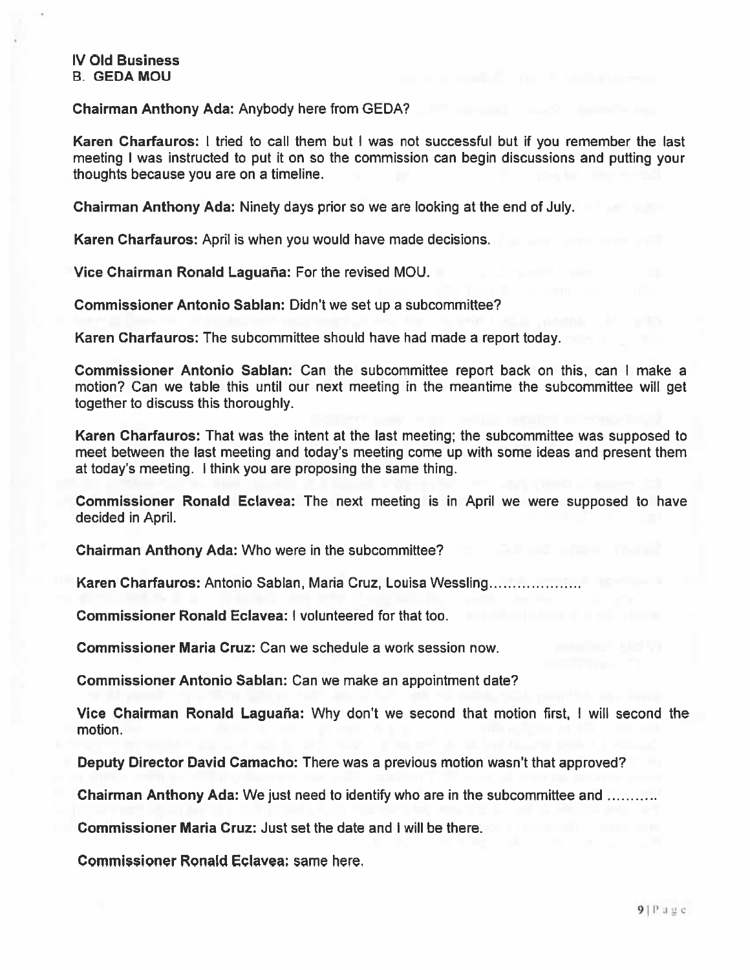#### IV Old Business B. GEDA MOU

#### Chairman Anthony Ada: Anybody here from GEDA?

Karen Charfauros: I tried to call them but I was not successful but if you remember the last meeting I was instructed to pu<sup>t</sup> it on so the commission can begin discussions and putting your thoughts because you are on <sup>a</sup> timeline.

Chairman Anthony Ada: Ninety days prior so we are looking at the end of July.

Karen Charfauros: April is when you would have made decisions.

Vice Chairman Ronald Laguaña: For the revised MOU.

Commissioner Antonio Sablan: Didn't we set up <sup>a</sup> subcommittee?

Karen Charfauros: The subcommittee should have had made <sup>a</sup> repor<sup>t</sup> today.

Commissioner Antonio Sablan: Can the subcommittee repor<sup>t</sup> back on this, can I make <sup>a</sup> motion? Can we table this until our next meeting in the meantime the subcommittee will ge<sup>t</sup> together to discuss this thoroughly.

Karen Charfauros: That was the intent at the last meeting; the subcommittee was supposed to meet between the last meeting and today's meeting come up with some ideas and present them at today's meeting. I think you are proposing the same thing.

Commissioner Ronald Eclavea: The next meeting is in April we were supposed to have decided in April.

Chairman Anthony Ada: Who were in the subcommittee?

Karen Charfauros: Antonio Sablan, Maria Cruz, Louisa Wessling

Commissioner Ronald Eclavea: I volunteered for that too.

Commissioner Maria Cruz: Can we schedule a work session now.

Commissioner Antonio Sablan: Can we make an appointment date?

Vice Chairman Ronald Laguaña: Why don't we second that motion first, I will second the motion.

Deputy Director David Camacho: There was <sup>a</sup> previous motion wasn't that approved?

Chairman Anthony Ada: We just need to identify who are in the subcommittee and

Commissioner Maria Cruz: Just set the date and I will be there.

Commissioner Ronald Eclavea: same here.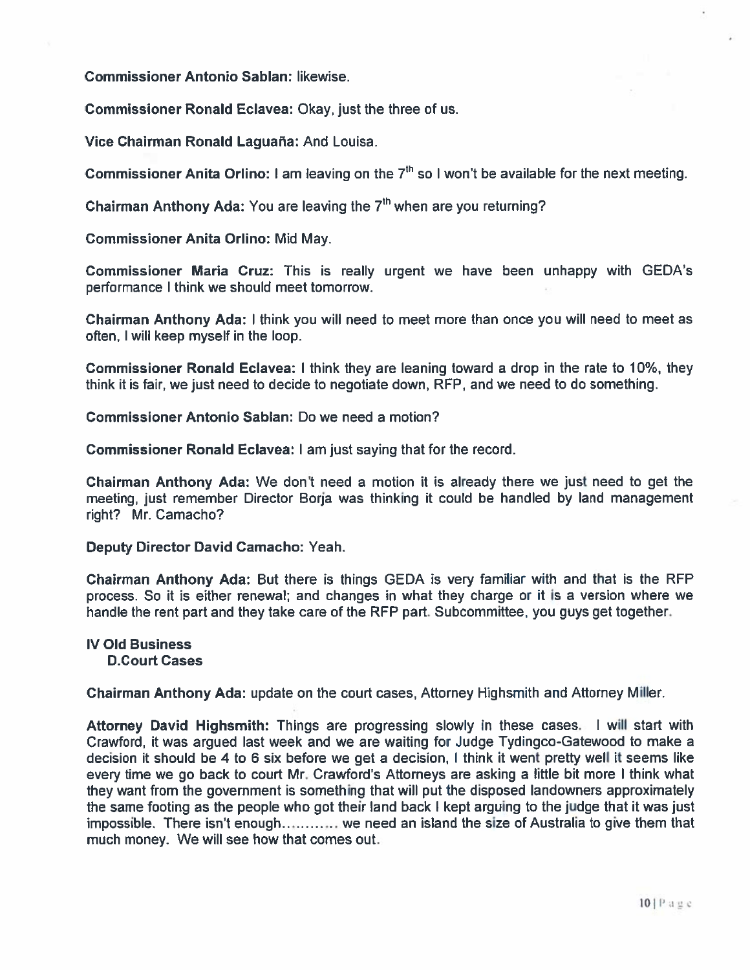Commissioner Antonio Sablan: likewise.

Commissioner Ronald Eclavea: Okay, just the three of us.

Vice Chairman Ronald Laguana: And Louisa.

Commissioner Anita Orlino: I am leaving on the 7<sup>th</sup> so I won't be available for the next meeting

Chairman Anthony Ada: You are leaving the  $7^{\mathsf{th}}$  when are you returning?

Commissioner Anita Orlino: Mid May.

Commissioner Maria Cruz: This is really urgen<sup>t</sup> we have been unhappy with GEDA'S performance I think we should meet tomorrow.

Chairman Anthony Ada: <sup>I</sup> think you will need to meet more than once you will need to meet as often, I will keep myself in the loop.

Commissioner Ronald Eclavea: I think they are leaning toward <sup>a</sup> drop in the rate to 10%, they think it is fair, we just need to decide to negotiate down, RFP, and we need to do something.

Commissioner Antonio Sablan: Do we need <sup>a</sup> motion?

Commissioner Ronald Eclavea: I am just saying that for the record.

Chairman Anthony Ada: We don't need <sup>a</sup> motion it is already there we just need to ge<sup>t</sup> the meeting, just remember Director Borja was thinking it could be handled by land managemen<sup>t</sup> right? Mr. Camacho?

Deputy Director David Camacho: Yeah.

Chairman Anthony Ada: But there is things GEDA is very familiar with and that is the RFP process. So it is either renewal; and changes in what they charge or it is <sup>a</sup> version where we handle the rent par<sup>t</sup> and they take care of the RFP part. Subcommittee, you guys ge<sup>t</sup> together.

# IV Old Business

D.Court Cases

Chairman Anthony Ada: update on the court cases, Attorney Highsmith and Attorney Miller.

Attorney David Highsmith: Things are progressing slowly in these cases. <sup>I</sup> will start with Crawford, it was argued last week and we are waiting for Judge Tydingco-Gatewood to make <sup>a</sup> decision it should be 4 to 6 six before we ge<sup>t</sup> <sup>a</sup> decision, <sup>I</sup> think it went pretty well it seems like every time we go back to court Mr. Crawford's Attorneys are asking <sup>a</sup> little bit more <sup>I</sup> think what they want from the governmen<sup>t</sup> is something that will pu<sup>t</sup> the disposed landowners approximately the same footing as the people who go<sup>t</sup> their land back I kept arguing to the judge that it was just impossible. There isn't enough............ we need an island the size of Australia to give them that much money. We will see how that comes out.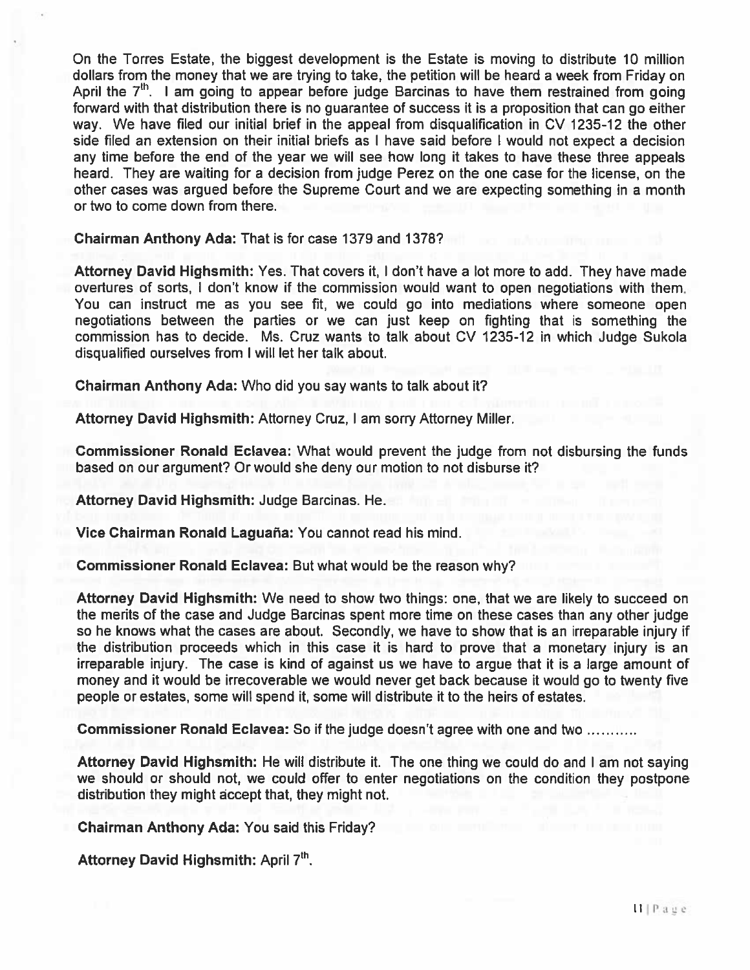On the Torres Estate, the biggest development is the Estate is moving to distribute 10 million dollars from the money that we are trying to take, the petition will be heard <sup>a</sup> week from Friday on April the  $7<sup>th</sup>$ . I am going to appear before judge Barcinas to have them restrained from going forward with that distribution there is no guarantee of success it is <sup>a</sup> proposition that can go either way. We have filed our initial brief in the appeal from disqualification in CV 1235-12 the other side filed an extension on their initial briefs as I have said before I would not expec<sup>t</sup> <sup>a</sup> decision any time before the end of the year we will see how long it takes to have these three appeals heard. They are waiting for <sup>a</sup> decision from judge Perez on the one case for the license, on the other cases was argued before the Supreme Court and we are expecting something in <sup>a</sup> month or two to come down from there.

Chairman Anthony Ada: That is for case 1379 and 1378?

Attorney David Highsmith: Yes. That covers it, I don't have <sup>a</sup> lot more to add. They have made overtures of sorts, I don't know if the commission would want to open negotiations with them. You can instruct me as you see fit, we could go into mediations where someone open negotiations between the parties or we can just keep on fighting that is something the commission has to decide. Ms. Cruz wants to talk about CV 1235-12 in which Judge Sukola disqualified ourselves from I will let her talk about.

Chairman Anthony Ada: Who did you say wants to talk about it?

Attorney David Highsmith: Attorney Cruz, I am sorry Attorney Miller.

Commissioner Ronald Eclavea: What would preven<sup>t</sup> the judge from not disbursing the funds based on our argument? Or would she deny our motion to not disburse it?

Attorney David Highsmith: Judge Barcinas. He.

Vice Chairman Ronald Laguaña: You cannot read his mind.

Commissioner Ronald Eclavea: But what would be the reason why?

Attorney David Highsmith: We need to show two things: one, that we are likely to succeed on the merits of the case and Judge Barcinas spen<sup>t</sup> more time on these cases than any other judge so he knows what the cases are about. Secondly, we have to show that is an irreparable injury if the distribution proceeds which in this case it is hard to prove that <sup>a</sup> monetary injury is an irreparable injury. The case is kind of against us we have to argue that it is <sup>a</sup> large amount of money and it would be irrecoverable we would never ge<sup>t</sup> back because it would go to twenty five people or estates, some will spend it, some will distribute it to the heirs of estates.

Commissioner Ronald Eclavea: So if the judge doesn't agree with one and two

Attorney David Highsmith: He will distribute it. The one thing we could do and I am not saying we should or should not, we could offer to enter negotiations on the condition they postpone distribution they might accep<sup>t</sup> that, they might not.

Chairman Anthony Ada: You said this Friday?

Attorney David Highsmith: April 7<sup>th</sup>.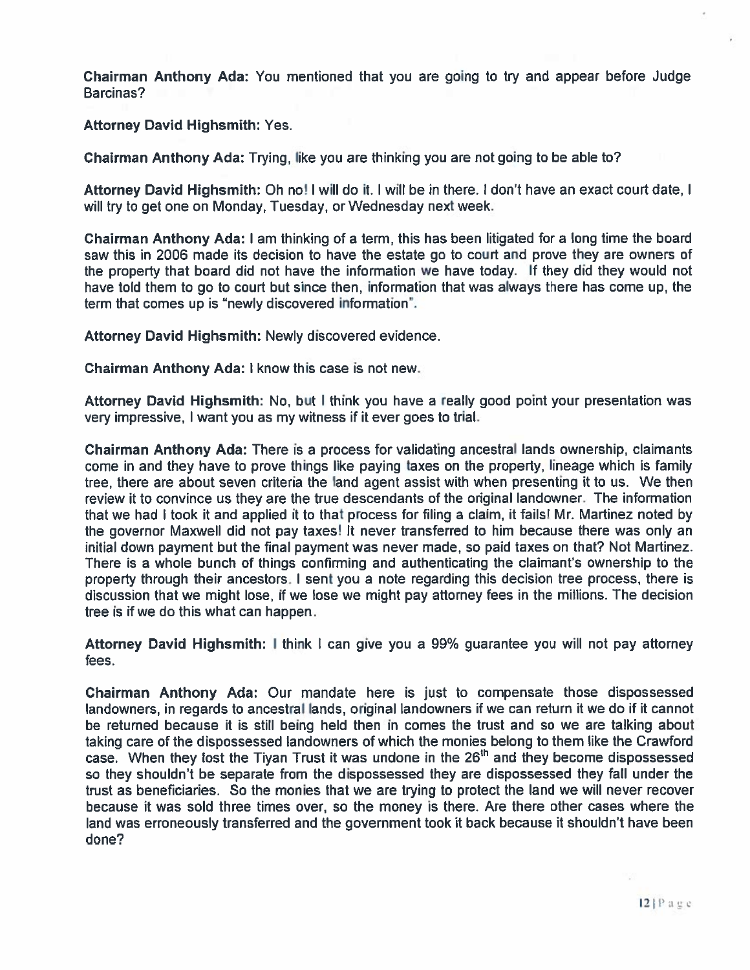Chairman Anthony Ada: You mentioned that you are going to try and appear before Judge Barcinas?

Attorney David Highsmith: Yes.

Chairman Anthony Ada: Trying, like you are thinking you are not going to be able to?

Attorney David Highsmith: Oh no! I will do it. I will be in there. I don't have an exact court date, I will try to ge<sup>t</sup> one on Monday, Tuesday, or Wednesday next week.

Chairman Anthony Ada: I am thinking of <sup>a</sup> term, this has been litigated for <sup>a</sup> long time the board saw this in 2006 made its decision to have the estate go to court and prove they are owners of the property that board did not have the information we have today. If they did they would not have told them to go to court but since then, information that was always there has come up, the term that comes up is "newly discovered information".

Attorney David Highsmith: Newly discovered evidence.

Chairman Anthony Ada: I know this case is not new.

Attorney David Highsmith: No, but I think you have <sup>a</sup> really good point your presentation was very impressive, I want you as my witness if it ever goes to trial.

Chairman Anthony Ada: There is <sup>a</sup> process for validating ancestral lands ownership, claimants come in and they have to prove things like paying taxes on the property, lineage which is family tree, there are about seven criteria the land agen<sup>t</sup> assist with when presenting it to us. We then review it to convince us they are the true descendants of the original landowner. The information that we had I took it and applied it to that process for filing <sup>a</sup> claim, it fails! Mr. Martinez noted by the governor Maxwell did not pay taxes! It never transferred to him because there was only an initial down paymen<sup>t</sup> but the final paymen<sup>t</sup> was never made, so paid taxes on that? Not Martinez. There is <sup>a</sup> whole bunch of things confirming and authenticating the claimant's ownership to the property through their ancestors. I sent you <sup>a</sup> note regarding this decision tree process, there is discussion that we might lose, if we lose we might pay attorney fees in the millions. The decision tree is if we do this what can happen.

Attorney David Highsmith: I think I can give you <sup>a</sup> 99% guarantee you will not pay attorney fees.

Chairman Anthony Ada: Our mandate here is just to compensate those dispossessed landowners, in regards to ancestral lands, original landowners if we can return it we do if it cannot be returned because it is still being held then in comes the trust and so we are talking about taking care of the dispossessed landowners of which the monies belong to them like the Crawford case. When they lost the Tiyan Trust it was undone in the 26"' and they become dispossessed so they shouldn't be separate from the dispossessed they are dispossessed they fall under the trust as beneficiaries. So the monies that we are trying to protect the land we will never recover because it was sold three times over, so the money is there. Are there other cases where the land was erroneously transferred and the governmen<sup>t</sup> took it back because it shouldn't have been done?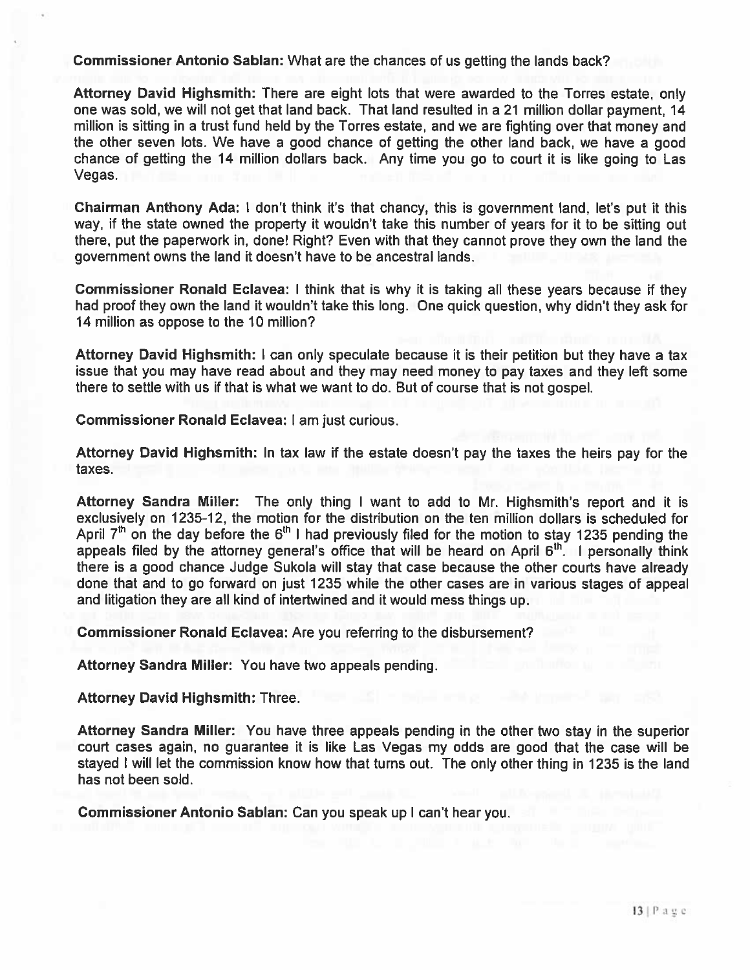Commissioner Antonio Sablan: What are the chances of us getting the lands back?

Attorney David Highsmith: There are eight lots that were awarded to the Torres estate, only one was sold, we will not ge<sup>t</sup> that land back. That land resulted in <sup>a</sup> 21 million dollar payment, 14 million is sitting in <sup>a</sup> trust fund held by the Torres estate, and we are fighting over that money and the other seven lots. We have <sup>a</sup> good chance of getting the other land back, we have <sup>a</sup> good chance of getting the 14 million dollars back. Any time you go to court it is like going to Las Vegas.

Chairman Anthony Ada: <sup>I</sup> don't think it's that chancy, this is governmen<sup>t</sup> land, let's pu<sup>t</sup> it this way, if the state owned the property it wouldn't take this number of years for it to be sitting out there, pu<sup>t</sup> the paperwork in, done! Right? Even with that they cannot prove they own the land the governmen<sup>t</sup> owns the land it doesn't have to be ancestral lands,

Commissioner Ronald Eclavea: I think that is why it is taking all these years because if they had proof they own the land it wouldn't take this long. One quick question, why didn't they ask for 14 million as oppose to the 10 million?

Attorney David Highsmith: I can only speculate because it is their petition but they have <sup>a</sup> tax issue that you may have read about and they may need money to pay taxes and they left some there to settle with us if that is what we want to do. But of course that is not gospel.

Commissioner Ronald Eclavea: <sup>I</sup> am just curious.

Attorney David Highsmith: In tax law if the estate doesn't pay the taxes the heirs pay for the taxes.

Attorney Sandra Miller: The only thing <sup>I</sup> want to add to Mr. Highsmith's repor<sup>t</sup> and it is exclusively on 1235-12, the motion for the distribution on the ten million dollars is scheduled for April  $7<sup>th</sup>$  on the day before the 6<sup>th</sup> I had previously filed for the motion to stay 1235 pending the appeals filed by the attorney general's office that will be heard on April  $6<sup>th</sup>$ . I personally think there is <sup>a</sup> good chance Judge Sukola will stay that case because the other courts have already done that and to go forward on just 1235 while the other cases are in various stages of appeal and litigation they are all kind of intertwined and it would mess things up.

Commissioner Ronald Eclavea: Are you referring to the disbursement?

Attorney Sandra Miller: You have two appeals pending.

Attorney David Highsmith: Three.

Attorney Sandra Miller: You have three appeals pending in the other two stay in the superior court cases again, no guarantee it is like Las Vegas my odds are good that the case will be stayed <sup>I</sup> will let the commission know how that turns out. The only other thing in 1235 is the land has not been sold.

Commissioner Antonio Sablan: Can you spea<sup>k</sup> up <sup>I</sup> can't hear you.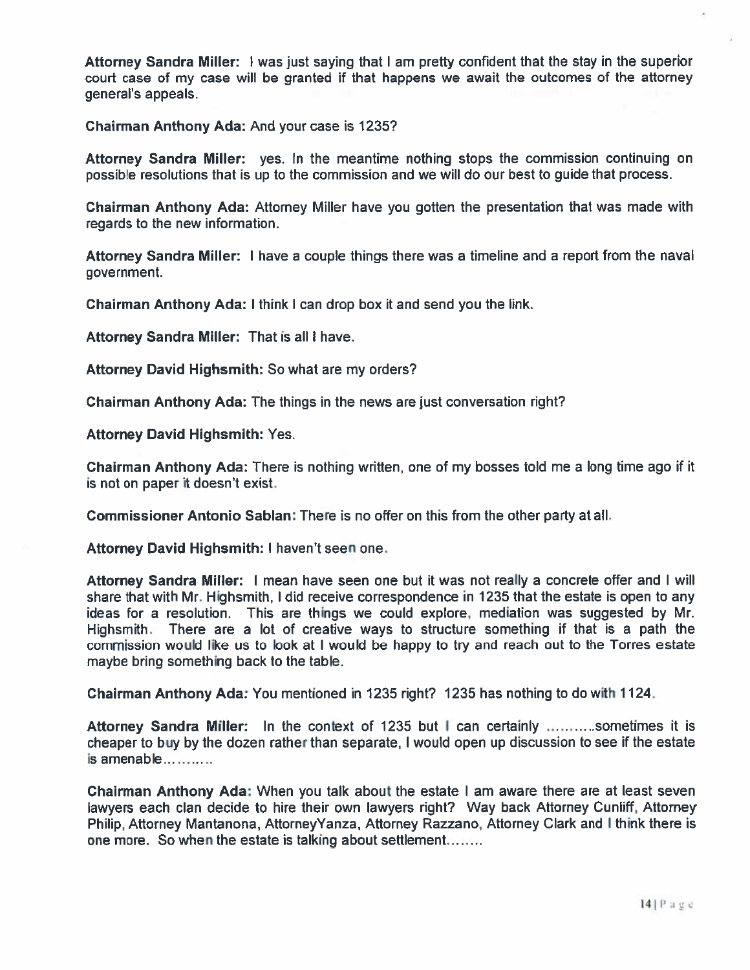Attorney Sandra Miller: <sup>I</sup> was just saying that <sup>I</sup> am pretty confident that the stay in the superior court case of my case will be granted if that happens we await the outcomes of the attorney general's appeals.

Chairman Anthony Ada: And your case is 1235?

Attorney Sandra Miller: yes. In the meantime nothing stops the commission continuing on possible resolutions that is up to the commission and we will do our best to guide that process.

Chairman Anthony Ada: Attorney Miller have you gotten the presentation that was made with regards to the new information.

Attorney Sandra Miller: <sup>I</sup> have <sup>a</sup> couple things there was <sup>a</sup> timeline and <sup>a</sup> repor<sup>t</sup> from the naval government.

Chairman Anthony Ada: I think I can drop box it and send you the link.

Attorney Sandra Miller: That is all I have.

Attorney David Highsmith: So what are my orders?

Chairman Anthony Ada: The things in the news are just conversation right?

Attorney David Highsmith: Yes.

Chairman Anthony Ada: There is nothing written, one of my bosses told me <sup>a</sup> long time ago if it is not on paper it doesn't exist.

Commissioner Antonio Sablan: There is no offer on this from the other party at all.

Attorney David Highsmith; I haven't seen one.

Attorney Sandra Miller: I mean have seen one but it was not really <sup>a</sup> concrete offer and I will share that with Mr. Highsmith, <sup>I</sup> did receive correspondence in 1235 that the estate is open to any ideas for <sup>a</sup> resolution. This are things we could explore, mediation was suggested by Mr. Highsmith. There are <sup>a</sup> lot of creative ways to structure something if that is <sup>a</sup> path the commission would like us to look at <sup>I</sup> would be happy to try and reach out to the Torres estate maybe bring something back to the table.

Chairman Anthony Ada: You mentioned in 1235 right? 1235 has nothing to do with 1124.

Attorney Sandra Miller: In the context of 1235 but I can certainly **sometion** it is cheaper to buy by the dozen rather than separate, <sup>I</sup> would open up discussion to see if the estate is amenable

Chairman Anthony Ada; When you talk about the estate <sup>I</sup> am aware there are at least seven lawyers each clan decide to hire their own lawyers right? Way back Attorney Cunliff, Attorney Philip, Attorney Mantanona, AttorneyYanza, Attorney Razzano, Attorney Clark and <sup>I</sup> think there is one more. So when the estate is talking about settlement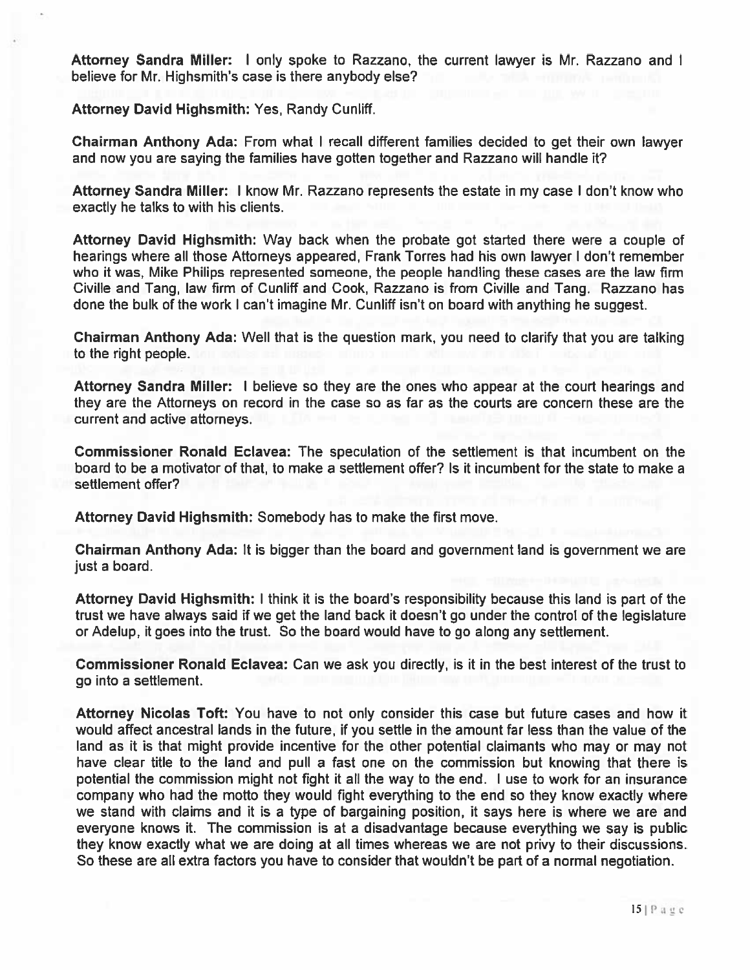Attorney Sandra Miller: I only spoke to Razzano, the current lawyer is Mr. Razzano and I believe for Mr. Highsmith's case is there anybody else?

Attorney David Highsmith: Yes, Randy Cunliff.

Chairman Anthony Ada: From what <sup>I</sup> recall different families decided to ge<sup>t</sup> their own lawyer and now you are saying the families have gotten together and Razzano will handle it?

Attorney Sandra Miller: I know Mr. Razzano represents the estate in my case I don't know who exactly he talks to with his clients.

Attorney David Highsmith: Way back when the probate go<sup>t</sup> started there were <sup>a</sup> couple of hearings where all those Attorneys appeared, Frank Torres had his own lawyer I don't remember who it was, Mike Philips represented someone, the people handling these cases are the law firm Civille and Tang, law firm of Cunliff and Cook, Razzano is from Civille and Tang. Razzano has done the bulk of the work I can't imagine Mr. Cunliff isn't on board with anything he suggest.

Chairman Anthony Ada: Well that is the question mark, you need to clarify that you are talking to the right people.

Attorney Sandra Miller: I believe so they are the ones who appear at the court hearings and they are the Attorneys on record in the case so as far as the courts are concern these are the current and active attorneys.

Commissioner Ronald Eclavea: The speculation of the settlement is that incumbent on the board to be <sup>a</sup> motivator of that, to make <sup>a</sup> settlement offer? Is it incumbent for the state to make <sup>a</sup> settlement offer?

Attorney David Highsmith: Somebody has to make the first move.

Chairman Anthony Ada: It is bigger than the board and governmen<sup>t</sup> land is governmen<sup>t</sup> we are just <sup>a</sup> board.

Attorney David Highsmith: I think it is the board's responsibility because this land is par<sup>t</sup> of the trust we have always said if we ge<sup>t</sup> the land back it doesn't go under the control of the legislature or Adelup, it goes into the trust. So the board would have to go along any settlement.

Commissioner Ronald Eclavea: Can we ask you directly, is it in the best interest of the trust to go into <sup>a</sup> settlement.

Attorney Nicolas Toft: You have to not only consider this case but future cases and how it would affect ancestral lands in the future, if you settle in the amount far less than the value of the land as it is that might provide incentive for the other potential claimants who may or may not have clear title to the land and pull <sup>a</sup> fast one on the commission but knowing that there is potential the commission might not fight it all the way to the end. I use to work for an insurance company who had the motto they would fight everything to the end so they know exactly where we stand with claims and it is <sup>a</sup> type of bargaining position, it says here is where we are and everyone knows it. The commission is at <sup>a</sup> disadvantage because everything we say is public they know exactly what we are doing at all times whereas we are not privy to their discussions. So these are all extra factors you have to consider that wouldn't be par<sup>t</sup> of <sup>a</sup> normal negotiation.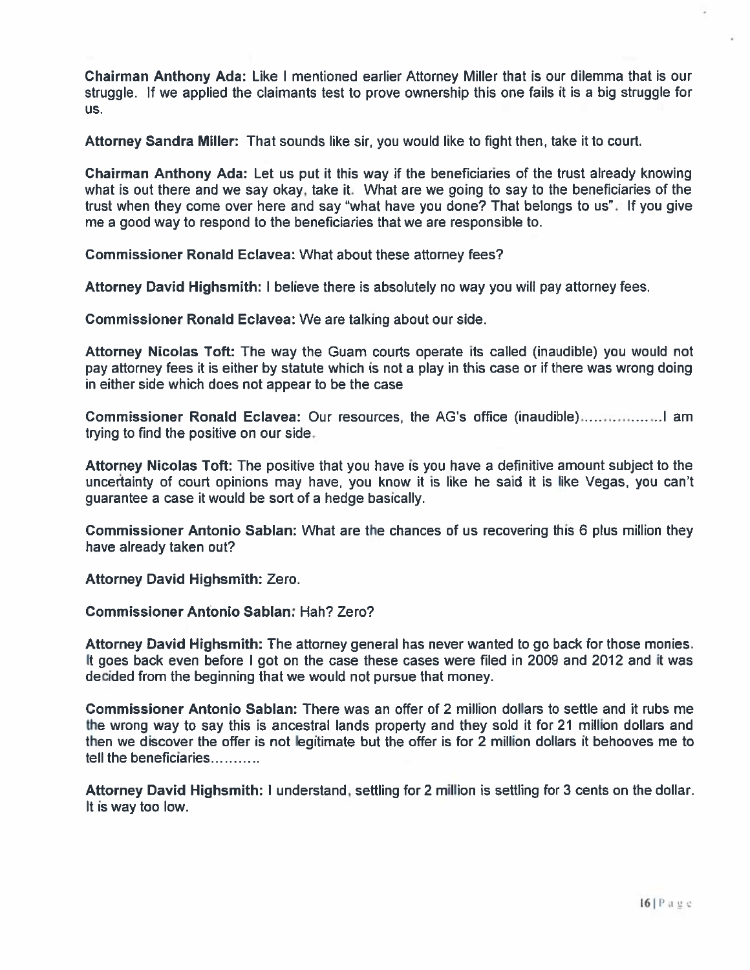Chairman Anthony Ada: Like I mentioned earlier Attorney Miller that is our dilemma that is our struggle. If we applied the claimants test to prove ownership this one fails it is <sup>a</sup> big struggle for us.

Attorney Sandra Miller: That sounds like sir, you would like to fight then, take it to court.

Chairman Anthony Ada: Let us pu<sup>t</sup> it this way if the beneficiaries of the trust already knowing what is out there and we say okay, take it. What are we going to say to the beneficiaries of the trust when they come over here and say "what have you done? That belongs to us". If you give me <sup>a</sup> good way to respond to the beneficiaries that we are responsible to.

Commissioner Ronald Eclavea: What about these attorney fees?

Attorney David Highsmith: I believe there is absolutely no way you will pay attorney fees.

Commissioner Ronald Eclavea: We are talking about our side.

Attorney Nicolas Toft: The way the Guam courts operate its called (inaudible) you would not pay attorney fees it is either by statute which is not <sup>a</sup> play in this case or if there was wrong doing in either side which does not appear to be the case

Commissioner Ronald Eclavea: Our resources, the AG's office (inaudible)………………I am trying to find the positive on our side.

Attorney Nicolas Toft: The positive that you have is you have <sup>a</sup> definitive amount subject to the uncertainty of court opinions may have, you know it is like he said it is like Vegas, you can't guarantee <sup>a</sup> case it would be sort of <sup>a</sup> hedge basically.

Commissioner Antonio Sablan: What are the chances of us recovering this 6 plus million they have already taken out?

Attorney David Highsmith: Zero.

Commissioner Antonio Sablan: Hah? Zero?

Attorney David Highsmith: The attorney general has never wanted to go back for those monies. It goes back even before I go<sup>t</sup> on the case these cases were filed in 2009 and 2012 and it was decided from the beginning that we would not pursue that money.

Commissioner Antonio Sablan: There was an offer of 2 million dollars to settle and it rubs me the wrong way to say this is ancestral lands property and they sold it for 21 million dollars and then we discover the offer is not legitimate but the offer is for 2 million dollars it behooves me to tell the beneficiaries

Attorney David Highsmith: I understand, settling for 2 million is settling for 3 cents on the dollar. It is way too low.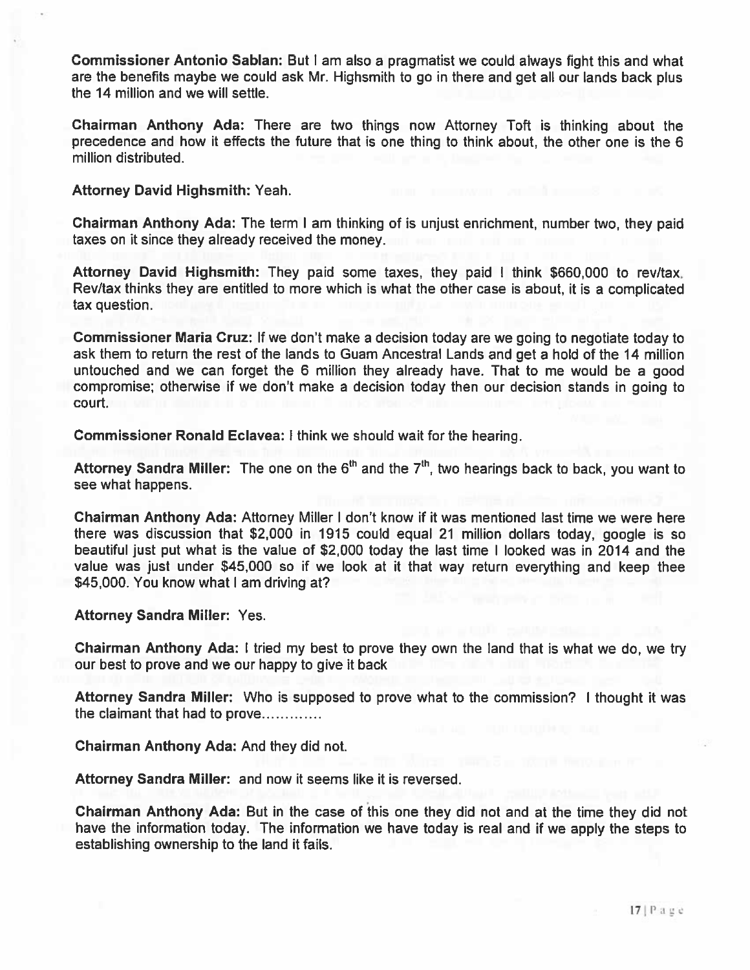Commissioner Antonio Sablan: But <sup>I</sup> am also <sup>a</sup> pragmatist we could always fight this and what are the benefits maybe we could ask Mr. Highsmith to go in there and ge<sup>t</sup> all our lands back <sup>p</sup>lus the 14 million and we will settle.

Chairman Anthony Ada: There are two things now Attorney Toft is thinking about the precedence and how it effects the future that is one thing to think about, the other one is the 6 million distributed.

Attorney David Highsmith: Yeah.

Chairman Anthony Ada: The term <sup>I</sup> am thinking of is unjust enrichment, number two, they paid taxes on it since they already received the money.

Attorney David Highsmith: They paid some taxes, they paid <sup>I</sup> think \$660,000 to rev/tax. Rev/tax thinks they are entitled to more which is what the other case is about, it is <sup>a</sup> complicated tax question.

Commissioner Maria Cruz: If we don't make <sup>a</sup> decision today are we going to negotiate today to ask them to return the rest of the lands to Guam Ancestral Lands and ge<sup>t</sup> <sup>a</sup> hold of the 14 million untouched and we can forget the <sup>6</sup> million they already have. That to me would be <sup>a</sup> good compromise; otherwise if we don't make <sup>a</sup> decision today then our decision stands in going to court.

Commissioner Ronald Eclavea: <sup>I</sup> think we should wait for the hearing.

Attorney Sandra Miller: The one on the  $6<sup>th</sup>$  and the  $7<sup>th</sup>$ , two hearings back to back, you want to see what happens.

Chairman Anthony Ada: Attorney Miller I don't know if it was mentioned last time we were here there was discussion that \$2,000 in 1915 could equal 21 million dollars today, google is so beautiful just pu<sup>t</sup> what is the value of \$2,000 today the last time <sup>I</sup> looked was in 2014 and the value was just under \$45,000 so if we look at it that way return everything and keep thee \$45,000. You know what I am driving at?

Attorney Sandra Miller: Yes.

Chairman Anthony Ada: <sup>I</sup> tried my best to prove they own the land that is what we do, we try our best to prove and we our happy to give it back

Attorney Sandra Miller: Who is supposed to prove what to the commission? <sup>I</sup> thought it was the claimant that had to prove

Chairman Anthony Ada: And they did not.

Attorney Sandra Miller: and now it seems like it is reversed.

Chairman Anthony Ada: But in the case of this one they did not and at the time they did not have the information today. The information we have today is real and if we apply the steps to establishing ownership to the land it fails.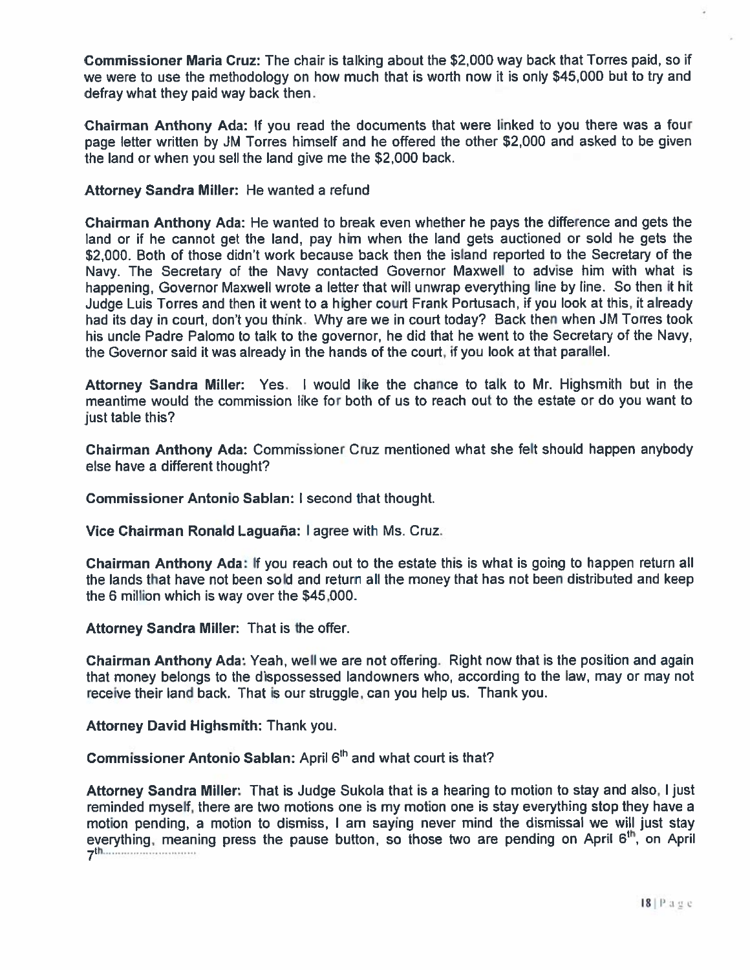Commissioner Maria Cruz: The chair is talking about the \$2,000 way back that Torres paid, so if we were to use the methodology on how much that is worth now it is only \$45,000 but to try and defray what they paid way back then.

Chairman Anthony Ada: If you read the documents that were linked to you there was <sup>a</sup> four page letter written by JM Torres himself and he offered the other \$2,000 and asked to be given the land or when you sell the land give me the \$2,000 back.

#### Attorney Sandra Miller: He wanted <sup>a</sup> refund

Chairman Anthony Ada: He wanted to break even whether he pays the difference and gets the land or if he cannot ge<sup>t</sup> the land, pay him when the land gets auctioned or sold he gets the \$2,000. Both of those didn't work because back then the island reported to the Secretary of the Navy. The Secretary of the Navy contacted Governor Maxwell to advise him with what is happening, Governor Maxwell wrote <sup>a</sup> letter that will unwrap everything line by line. So then it hit Judge Luis Torres and then it went to <sup>a</sup> higher court Frank Portusach, if you look at this, it already had its day in court, don't you think. Why are we in court today? Back then when JM Torres took his uncle Padre Palomo to talk to the governor, he did that he went to the Secretary of the Navy, the Governor said it was already in the hands of the court, if you look at that parallel.

Attorney Sandra Miller: Yes. <sup>I</sup> would like the chance to talk to Mr. Highsmith but in the meantime would the commission like for both of us to reach out to the estate or do you want to just table this?

Chairman Anthony Ada: Commissioner Cruz mentioned what she felt should happen anybody else have <sup>a</sup> different thought?

Commissioner Antonio Sablan: I second that thought.

Vice Chairman Ronald Laguaña: I agree with Ms. Cruz

Chairman Anthony Ada: If you reach out to the estate this is what is going to happen return all the lands that have not been sold and return all the money that has not been distributed and keep the 6 million which is way over the \$45,000.

Attorney Sandra Miller: That is the offer.

Chairman Anthony Ada: Yeah, well we are not offering. Right now that is the position and again that money belongs to the dispossessed landowners who, according to the law, may or may not receive their land back. That is our struggle, can you help us. Thank you.

Attorney David Highsmith: Thank you.

Commissioner Antonio Sablan: April 6<sup>th</sup> and what court is that?

Attorney Sandra Miller: That is Judge Sukola that is <sup>a</sup> hearing to motion to stay and also, <sup>I</sup> just reminded myself, there are two motions one is my motion one is stay everything stop they have <sup>a</sup> motion pending, <sup>a</sup> motion to dismiss, <sup>I</sup> am saying never mind the dismissal we will just stay everything, meaning press the pause button, so those two are pending on April  $6<sup>th</sup>$ , on April  $\mathcal{I}^{\dagger}$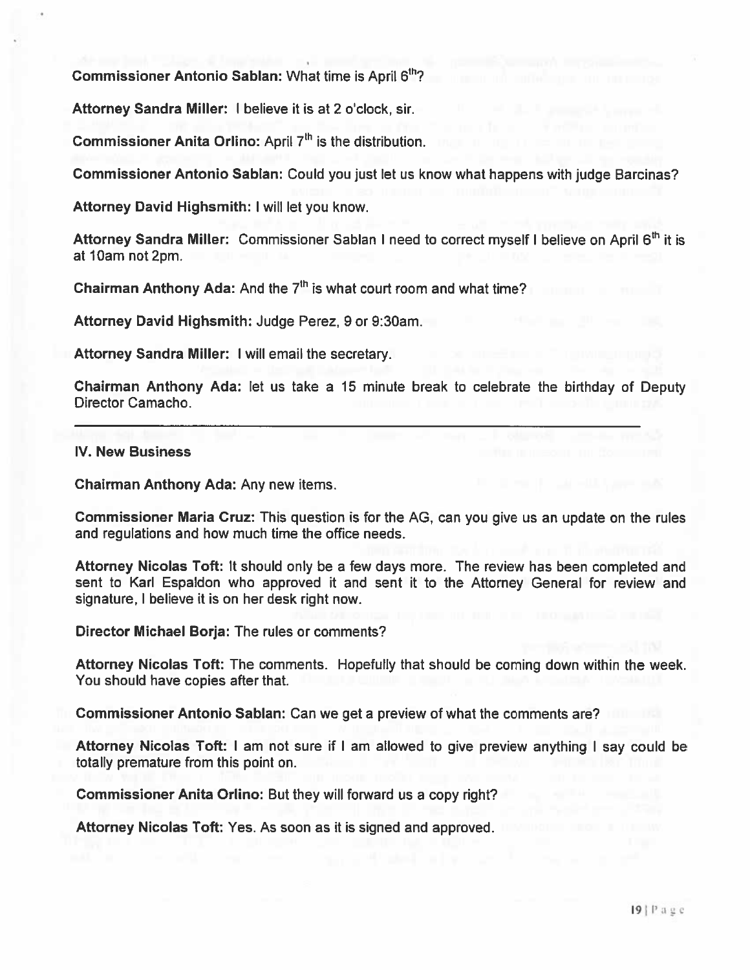Commissioner Antonio Sablan: What time is April 6<sup>th</sup>?

Attorney Sandra Miller: I believe it is at 2 <sup>o</sup>'clock, sir.

Commissioner Anita Orlino: April  $7<sup>th</sup>$  is the distribution.

Commissioner Antonio Sablan: Could you just let us know what happens with judge Barcinas?

Attorney David Highsmith: I will let you know.

Attorney Sandra Miller: Commissioner Sablan I need to correct myself I believe on April 6<sup>th</sup> it is at 10am not 2pm.

Chairman Anthony Ada: And the  $7<sup>th</sup>$  is what court room and what time?

Attorney David Highsmith: Judge Perez, 9 or 9:30am.

Attorney Sandra Miller: I will email the secretary.

Chairman Anthony Ada: let us take <sup>a</sup> 15 minute break to celebrate the birthday of Deputy Director Camacho.

#### IV. New Business

Chairman Anthony Ada: Any new items.

Commissioner Maria Cruz: This question is for the AG, can you give us an update on the rules and regulations and how much time the office needs.

Attorney Nicolas Toft: It should only be <sup>a</sup> few days more. The review has been completed and sent to Karl Espaldon who approved it and sent it to the Attorney General for review and signature, <sup>I</sup> believe it is on her desk right now.

Director Michael Borja: The rules or comments?

Attorney Nicolas Toft: The comments. Hopefully that should be coming down within the week. You should have copies after that.

Commissioner Antonio Sablan: Can we ge<sup>t</sup> <sup>a</sup> preview of what the comments are?

Attorney Nicolas Toft: <sup>I</sup> am not sure if <sup>I</sup> am allowed to <sup>g</sup>ive preview anything <sup>I</sup> say could be totally premature from this point on.

Commissioner Anita Orlino: But they will forward us <sup>a</sup> copy right?

Attorney Nicolas Toft: Yes. As soon as it is signed and approved.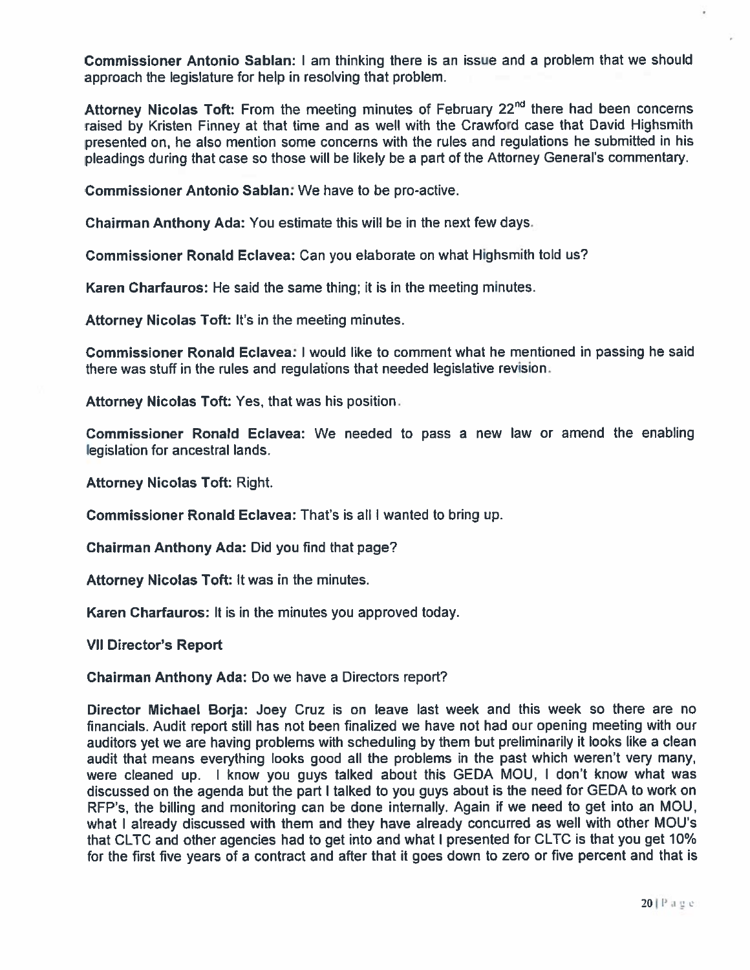Commissioner Antonio Sablan: I am thinking there is an issue and <sup>a</sup> problem that we should approach the legislature for help in resolving that problem.

Attorney Nicolas Toft: From the meeting minutes of February 22<sup>nd</sup> there had been concerns raised by Kristen Finney at that time and as well with the Crawford case that David Highsmith presented on, he also mention some concerns with the rules and regulations he submitted in his <sup>p</sup>leadings during that case so those will be likely be <sup>a</sup> par<sup>t</sup> of the Attorney General's commentary.

Commissioner Antonio Sablan: We have to be pro-active.

Chairman Anthony Ada: You estimate this will be in the next few days.

Commissioner Ronald Eclavea: Can you elaborate on what Highsmith told us?

Karen Charfauros: He said the same thing; it is in the meeting minutes.

Attorney Nicolas Toft: It's in the meeting minutes.

Commissioner Ronald Eclavea: I would like to comment what he mentioned in passing he said there was stuff in the rules and regulations that needed legislative revision.

Attorney Nicolas Toft: Yes, that was his position.

Commissioner Ronald Eclavea: We needed to pass <sup>a</sup> new law or amend the enabling legislation for ancestral lands.

Attorney Nicolas Toft: Right.

Commissioner Ronald Eclavea: That's is all I wanted to bring up.

Chairman Anthony Ada: Did you find that page?

Attorney Nicolas Toft: It was in the minutes.

Karen Charfauros: It is in the minutes you approved today.

VII Director's Report

Chairman Anthony Ada: Do we have <sup>a</sup> Directors report?

Director Michael Borja: Joey Cruz is on leave last week and this week so there are no financials. Audit repor<sup>t</sup> still has not been finalized we have not had our opening meeting with our auditors ye<sup>t</sup> we are having problems with scheduling by them but preliminarily it looks like <sup>a</sup> clean audit that means everything looks good all the problems in the pas<sup>t</sup> which weren't very many, were cleaned up. <sup>I</sup> know you guys talked about this GEDA MOU, <sup>I</sup> don't know what was discussed on the agenda but the par<sup>t</sup> <sup>I</sup> talked to you guys about is the need for GEDA to work on RFP's, the billing and monitoring can be done internally. Again if we need to ge<sup>t</sup> into an MOU, what I already discussed with them and they have already concurred as well with other MDU's that CLTC and other agencies had to ge<sup>t</sup> into and what <sup>I</sup> presented for CLTC is that you ge<sup>t</sup> 10% for the first five years of <sup>a</sup> contract and after that it goes down to zero or five percen<sup>t</sup> and that is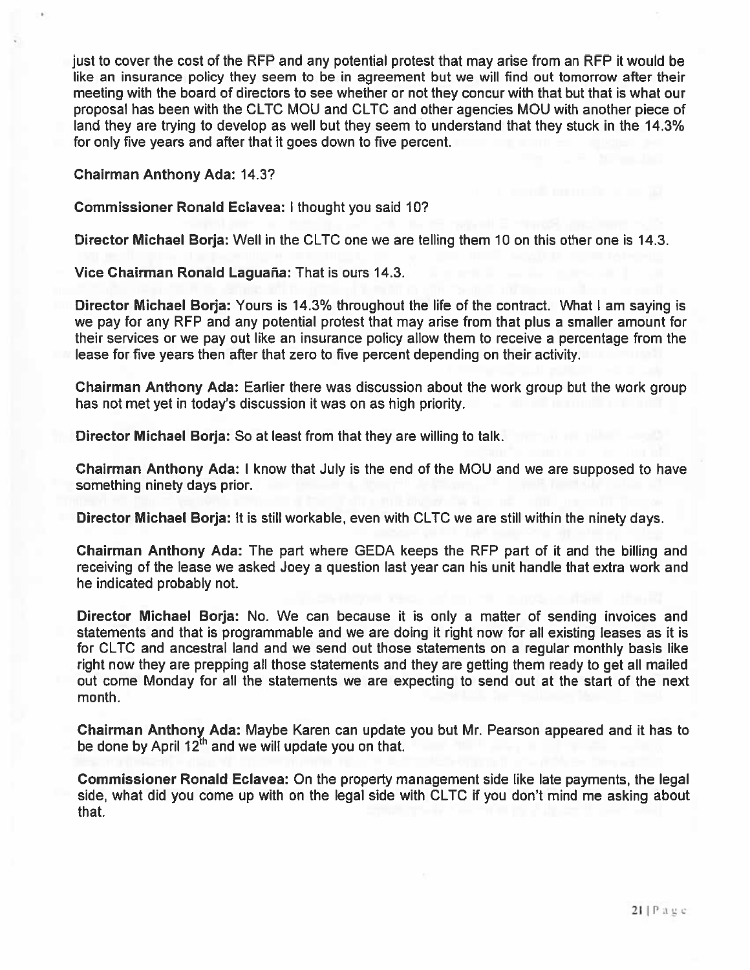just to cover the cost of the RFP and any potential protest that may arise from an REP it would be like an insurance policy they seem to be in agreemen<sup>t</sup> but we will find out tomorrow after their meeting with the board of directors to see whether or not they concur with that but that is what our proposal has been with the CLTC MOU and CLTC and other agencies MOU with another piece of land they are trying to develop as well but they seem to understand that they stuck in the 14.3% for only five years and after that it goes down to five percent.

Chairman Anthony Ada: 14.3?

#### Commissioner Ronald Eclavea: I thought you said 10?

Director Michael Borja: Well in the CLTC one we are telling them 10 on this other one is 14.3.

Vice Chairman Ronald Laguaña: That is ours 14.3.

Director Michael Barja: Yours is 14.3% throughout the life of the contract. What I am saying is we pay for any REP and any potential protest that may arise from that plus <sup>a</sup> smaller amount for their services or we pay out like an insurance policy allow them to receive <sup>a</sup> percentage from the lease for five years then after that zero to five percen<sup>t</sup> depending on their activity.

Chairman Anthony Ada: Earlier there was discussion about the work group but the work group has not met ye<sup>t</sup> in today's discussion it was on as high priority.

Director Michael Borja: So at least from that they are willing to talk.

Chairman Anthony Ada: I know that July is the end of the MOU and we are supposed to have something ninety days prior.

Director Michael Borja: It is still workable, even with CLTC we are still within the ninety days.

Chairman Anthony Ada: The par<sup>t</sup> where GEDA keeps the REP par<sup>t</sup> of it and the billing and receiving of the lease we asked Joey <sup>a</sup> question last year can his unit handle that extra work and he indicated probably not.

Director Michael Borja: No. We can because it is only <sup>a</sup> matter of sending invoices and statements and that is programmable and we are doing it right now for all existing leases as it is for CLTC and ancestral land and we send out those statements on <sup>a</sup> regular monthly basis like right now they are prepping all those statements and they are getting them ready to ge<sup>t</sup> all mailed out come Monday for all the statements we are expecting to send out at the start of the next month.

Chairman Anthony Ada: Maybe Karen can update you but Mr. Pearson appeared and it has to be done by April  $12<sup>th</sup>$  and we will update you on that.

Commissioner Ronald Eclavea: On the property managemen<sup>t</sup> side like late payments, the legal side, what did you come up with on the legal side with CLTC if you don't mind me asking about that.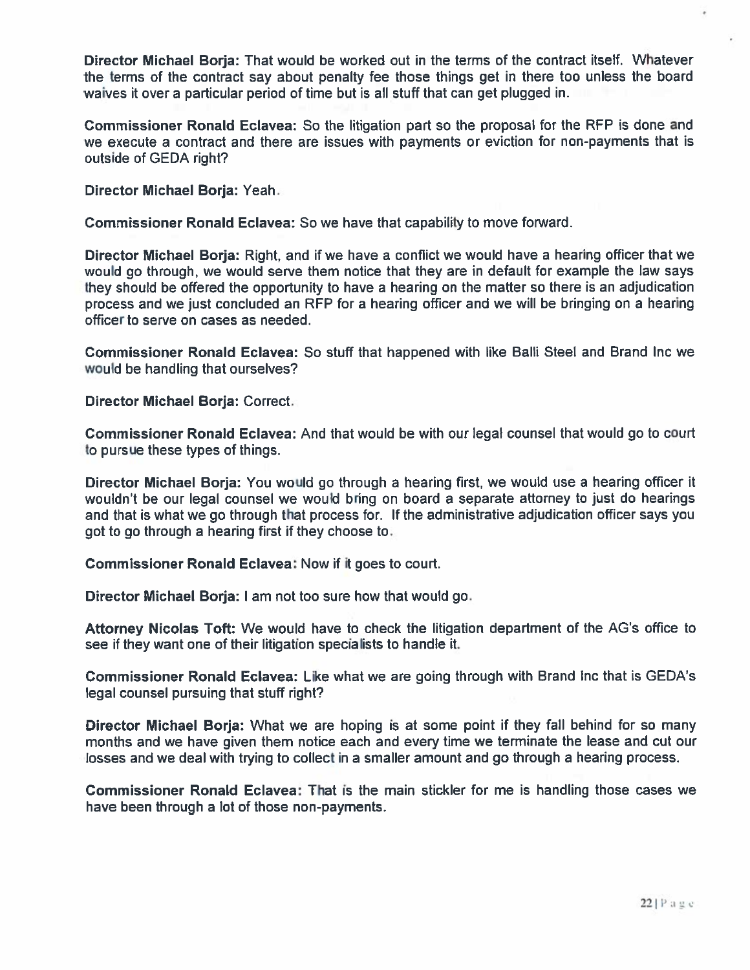Director Michael Borja: That would be worked out in the terms of the contract itself. Whatever the terms of the contract say about penalty fee those things ge<sup>t</sup> in there too unless the board waives it over <sup>a</sup> particular period of time but is all stuff that can ge<sup>t</sup> plugged in.

Commissioner Ronald Eclavea: So the litigation par<sup>t</sup> so the proposal for the RFP is done and we execute <sup>a</sup> contract and there are issues with payments or eviction for non-payments that is outside of GEDA right?

Director Michael Borja: Yeah.

Commissioner Ronald Eclavea: So we have that capability to move forward.

Director Michael Borja: Right, and if we have <sup>a</sup> conflict we would have <sup>a</sup> hearing officer that we would go through, we would serve them notice that they are in default for example the law says they should be offered the opportunity to have <sup>a</sup> hearing on the matter so there is an adjudication process and we just concluded an RFP for <sup>a</sup> hearing officer and we will be bringing on <sup>a</sup> hearing officer to serve on cases as needed.

Commissioner Ronald Eclavea: So stuff that happened with like BaIIi Steel and Brand Inc we would be handling that ourselves?

Director Michael Borja: Correct.

Commissioner Ronald Eclavea: And that would be with our legal counsel that would go to court to pursue these types of things.

Director Michael Borja: You would go through <sup>a</sup> hearing first, we would use <sup>a</sup> hearing officer it wouldn't be our legal counsel we would bring on board <sup>a</sup> separate attorney to just do hearings and that is what we go through that process for. If the administrative adjudication officer says you go<sup>t</sup> to go through <sup>a</sup> hearing first if they choose to.

Commissioner Ronald Eclavea: Now if it goes to court.

Director Michael Borja: I am not too sure how that would go.

Attorney Nicolas Toft: We would have to check the litigation department of the AG's office to see if they want one of their litigation specialists to handle it.

Commissioner Ronald Eclavea: Like what we are going through with Brand inc that is GEDA's legal counsel pursuing that stuff right?

Director Michael Borja: What we are hoping is at some point if they fall behind for so many months and we have given them notice each and every time we terminate the lease and cut our losses and we deal with trying to collect in <sup>a</sup> smaller amount and go through <sup>a</sup> hearing process.

Commissioner Ronald Eclavea: That is the main stickler for me is handling those cases we have been through <sup>a</sup> lot of those non-payments.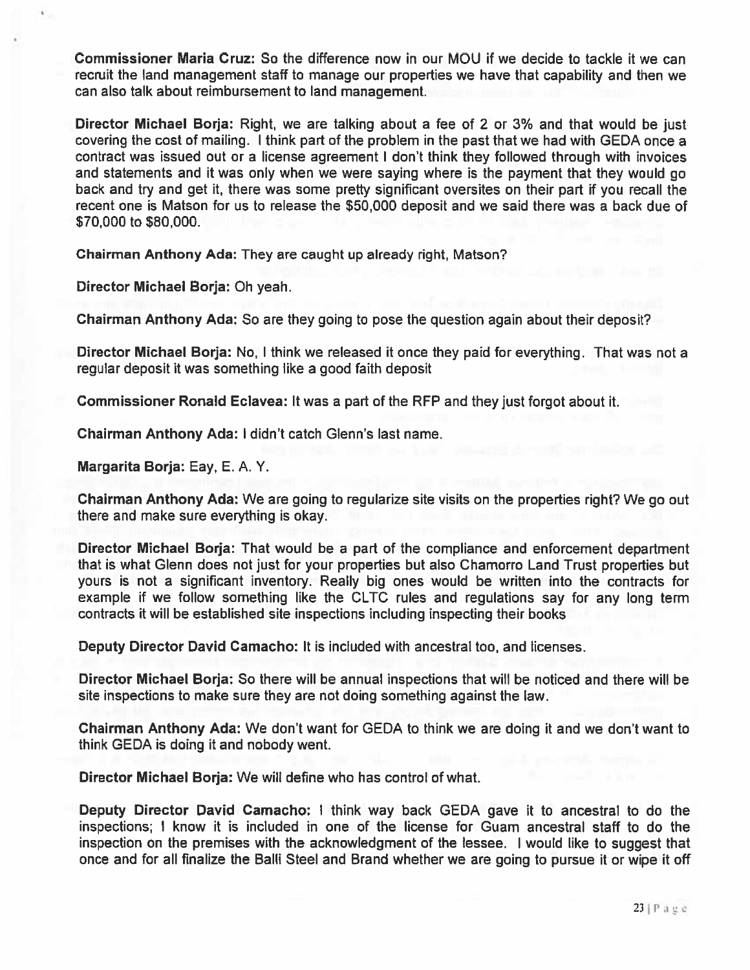Commissioner Maria Cruz: So the difference now in our MOU if we decide to tackle it we can recruit the land managemen<sup>t</sup> staff to manage our properties we have that capability and then we can also talk about reimbursement to land management.

Director Michael Borja: Right, we are talking about <sup>a</sup> fee of <sup>2</sup> or 3% and that would be just covering the cost of mailing. <sup>I</sup> think par<sup>t</sup> of the problem in the pas<sup>t</sup> that we had with GEDA once <sup>a</sup> contract was issued out or <sup>a</sup> license agreemen<sup>t</sup> <sup>I</sup> don't think they followed through with invoices and statements and it was only when we were saying where is the paymen<sup>t</sup> that they would go back and try and ge<sup>t</sup> it, there was some pretty significant oversites on their par<sup>t</sup> if you recall the recent one is Matson for us to release the \$50,000 deposit and we said there was <sup>a</sup> back due of \$70,000 to \$80,000.

Chairman Anthony Ada: They are caught up already right, Matson?

Director Michael Borja: Oh yeah.

Chairman Anthony Ada: So are they going to pose the question again about their deposit?

Director Michael Borja: No, I think we released it once they paid for everything. That was not <sup>a</sup> regular deposit it was something like <sup>a</sup> good faith deposit

Commissioner Ronald Eclavea: It was <sup>a</sup> par<sup>t</sup> of the RFP and they just forgot about it.

Chairman Anthony Ada: I didn't catch Glenn's last name.

Margarita Borja: Eay, E. A. Y.

Chairman Anthony Ada: We are going to regularize site visits on the properties right? We go out there and make sure everything is okay.

Director Michael Borja: That would be <sup>a</sup> par<sup>t</sup> of the compliance and enforcement department that is what Glenn does not just for your properties but also Chamorro Land Trust properties but yours is not <sup>a</sup> significant inventory. Really big ones would be written into the contracts for example if we follow something like the CLTC rules and regulations say for any long term contracts it will be established site inspections including inspecting their books

Deputy Director David Camacho: It is included with ancestral too, and licenses.

Director Michael Borja: So there will be annual inspections that will be noticed and there will be site inspections to make sure they are not doing something against the law.

Chairman Anthony Ada: We don't want for GEDA to think we are doing it and we don't want to think GEDA is doing it and nobody went.

Director Michael Borja: We will define who has control of what.

Deputy Director David Camacho: <sup>I</sup> think way back GEDA gave it to ancestral to do the inspections; I know it is included in one of the license for Guam ancestral staff to do the inspection on the premises with the acknowledgment of the lessee. I would like to sugges<sup>t</sup> that once and for all finalize the Balli Steel and Brand whether we are going to pursue it or wipe it off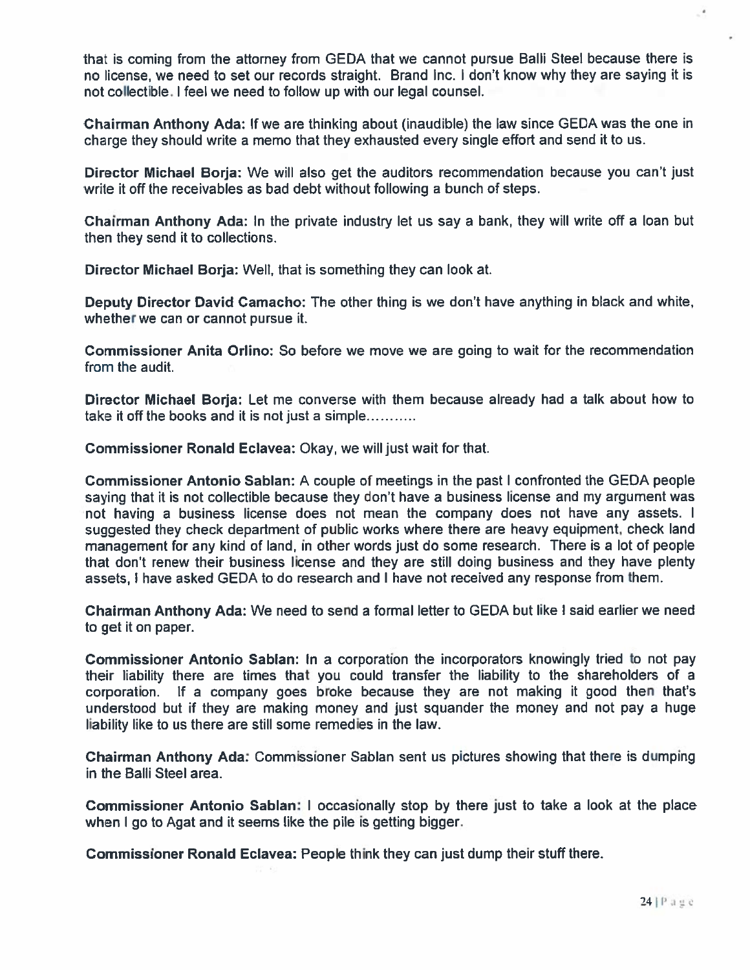that is coming from the attorney from GEDA that we cannot pursue Balli Steel because there is no license, we need to set our records straight. Brand Inc. I don't know why they are saying it is not collectible. I feel we need to follow up with our legal counsel.

Chairman Anthony Ada: If we are thinking about (inaudible) the law since GEDA was the one in charge they should write <sup>a</sup> memo that they exhausted every single effort and send it to us.

Director Michael Borja: We will also get the auditors recommendation because you can't just write it off the receivables as bad debt without following a bunch of steps.

Chairman Anthony Ada: In the private industry let us say a bank, they will write off a loan bu then they send it to collections.

Director Michael Borja: Well, that is something they can look at

Deputy Director David Camacho: The other thing is we don't have anything in black and white, whether we can or cannot pursue if.

Commissioner Anita Orlino: So before we move we are going to wait for the recommendation from the audit

Director Michael Borja: Let me converse with them because already had a talk about how to take it off the books and it is not just <sup>a</sup> simple

Commissioner Ronald Eclavea: Okay, we will just wait for that.

Commissioner Antonio Sablan: A couple of meetings in the pas<sup>t</sup> <sup>I</sup> confronted the GEDA people saying that it is not collectible because they don't have <sup>a</sup> business license and my argumen<sup>t</sup> was not having <sup>a</sup> business license does not mean the company does not have any assets. I suggested they check department of public works where there are heavy equipment, check land managemen<sup>t</sup> for any kind of land, in other words just do some research. There is <sup>a</sup> lot of people that don't renew their business license and they are still doing business and they have plenty assets, I have asked GEDA to do research and I have not received any response from them.

Chairman Anthony Ada: We need to send <sup>a</sup> formal letter to GEDA but like <sup>I</sup> said earlier we need to ge<sup>t</sup> it on paper.

Commissioner Antonio Sablan: In <sup>a</sup> corporation the incorporators knowingly tried to not pay their liability there are times that you could transfer the liability to the shareholders of <sup>a</sup> corporation. If <sup>a</sup> company goes broke because they are not making it good then that's understood but if they are making money and just squander the money and not pay <sup>a</sup> huge liability like to us there are still some remedies in the law.

Chairman Anthony Ada: Commissioner Sablan sent us <sup>p</sup>ictures showing that there is dumping in the Balli Steel area.

Commissioner Antonio Sablan: <sup>I</sup> occasionally stop by there just to take <sup>a</sup> look at the place when I go to Agat and it seems like the pile is getting bigger.

Commissioner Ronald Eclavea: People think they can just dump their stuff there.

 $\epsilon$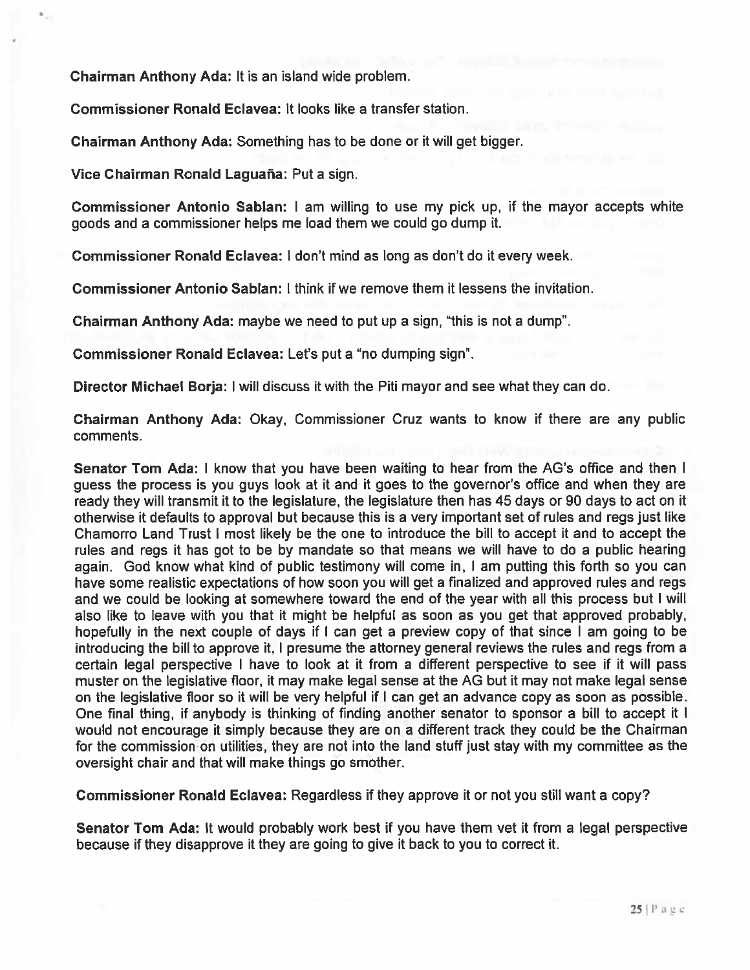Chairman Anthony Ada: It is an island wide problem.

Commissioner Ronald Eclavea: It looks like <sup>a</sup> transfer station.

Chairman Anthony Ada: Something has to be done or it will ge<sup>t</sup> bigger.

Vice Chairman Ronald Laguaña: Put a sign.

Commissioner Antonio Sablan: <sup>I</sup> am willing to use my pick up, if the mayor accepts white goods and <sup>a</sup> commissioner helps me load them we could go dump it.

Commissioner Ronald Eclavea: I don't mind as long as don't do it every week.

Commissioner Antonio Sablan: I think if we remove them it lessens the invitation.

Chairman Anthony Ada: maybe we need to pu<sup>t</sup> up <sup>a</sup> sign, "this is not <sup>a</sup> dump".

Commissioner Ronald Eclavea: Let's put a "no dumping sign".

Director Michael Borja: I will discuss it with the Piti mayor and see what they can do.

Chairman Anthony Ada: Okay, Commissioner Cruz wants to know if there are any public comments.

Senator Tom Ada: <sup>I</sup> know that you have been waiting to hear from the AG's office and then <sup>I</sup> guess the process is you guys look at it and it goes to the governor's office and when they are ready they will transmit it to the legislature, the legislature then has 45 days or 90 days to act on it otherwise it defaults to approval but because this is <sup>a</sup> very important set of rules and regs just like Chamorro Land Trust I most likely be the one to introduce the bill to accep<sup>t</sup> it and to accep<sup>t</sup> the rules and regs it has go<sup>t</sup> to be by mandate so that means we will have to do <sup>a</sup> public hearing again. God know what kind of public testimony will come in, <sup>I</sup> am putting this forth so you can have some realistic expectations of how soon you will get a finalized and approved rules and regs and we could be looking at somewhere toward the end of the year with all this process but I will also like to leave with you that it might be helpful as soon as you ge<sup>t</sup> that approved probably, hopefully in the next couple of days if <sup>I</sup> can ge<sup>t</sup> <sup>a</sup> preview copy of that since <sup>I</sup> am going to be introducing the bill to approve it, <sup>I</sup> presume the attorney general reviews the rules and regs from <sup>a</sup> certain legal perspective I have to look at it from <sup>a</sup> different perspective to see if it will pass muster on the legislative floor, it may make legal sense at the AG but it may not make legal sense on the legislative floor so it will be very helpful if <sup>I</sup> can ge<sup>t</sup> an advance copy as soon as possible. One final thing, if anybody is thinking of finding another senator to sponsor <sup>a</sup> bill to accep<sup>t</sup> it <sup>I</sup> would not encourage it simply because they are on <sup>a</sup> different track they could be the Chairman for the commission on utilities, they are not into the land stuff just stay with my committee as the oversight chair and that will make things go smother.

Commissioner Ronald Eclavea: Regardless if they approve it or not you still want <sup>a</sup> copy?

Senator Tom Ada: It would probably work best if you have them vet it from <sup>a</sup> legal perspective because if they disapprove it they are going to give it back to you to correct it.